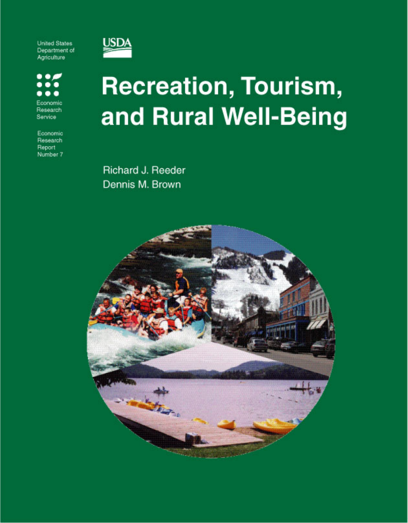**United States** Department of Agriculture



 $\bullet$ ... . . .

Economic Research Service

Economic Research Report Number 7

# **Recreation, Tourism,** and Rural Well-Being

Richard J. Reeder Dennis M. Brown

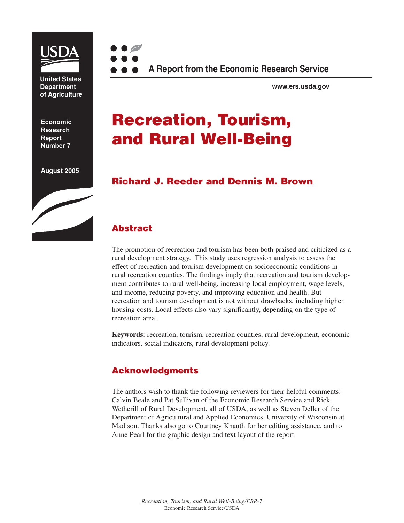

**United States Department of Agriculture**

**Economic Research Report Number 7**

**August 2005**



**www.ers.usda.gov**

## **Recreation, Tourism, and Rural Well-Being**

## **Richard J. Reeder and Dennis M. Brown**

## **Abstract**

The promotion of recreation and tourism has been both praised and criticized as a rural development strategy. This study uses regression analysis to assess the effect of recreation and tourism development on socioeconomic conditions in rural recreation counties. The findings imply that recreation and tourism development contributes to rural well-being, increasing local employment, wage levels, and income, reducing poverty, and improving education and health. But recreation and tourism development is not without drawbacks, including higher housing costs. Local effects also vary significantly, depending on the type of recreation area.

**Keywords**: recreation, tourism, recreation counties, rural development, economic indicators, social indicators, rural development policy.

## **Acknowledgments**

The authors wish to thank the following reviewers for their helpful comments: Calvin Beale and Pat Sullivan of the Economic Research Service and Rick Wetherill of Rural Development, all of USDA, as well as Steven Deller of the Department of Agricultural and Applied Economics, University of Wisconsin at Madison. Thanks also go to Courtney Knauth for her editing assistance, and to Anne Pearl for the graphic design and text layout of the report.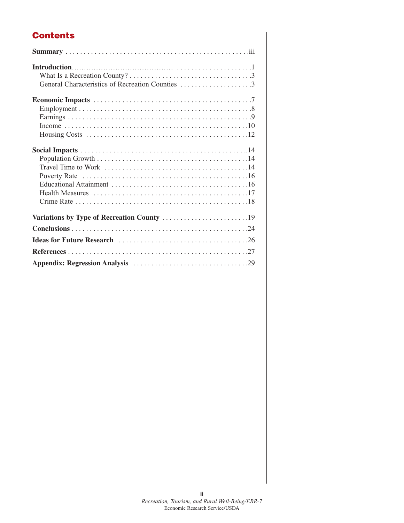## **Contents**

| General Characteristics of Recreation Counties 3 |
|--------------------------------------------------|
|                                                  |
|                                                  |
|                                                  |
|                                                  |
|                                                  |
|                                                  |
|                                                  |
|                                                  |
|                                                  |
|                                                  |
|                                                  |
|                                                  |
|                                                  |
|                                                  |
|                                                  |
|                                                  |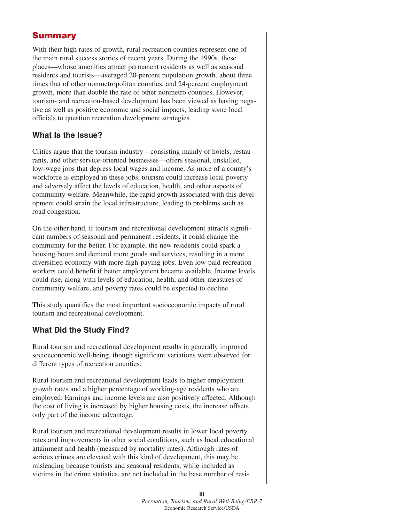## **Summary**

With their high rates of growth, rural recreation counties represent one of the main rural success stories of recent years. During the 1990s, these places—whose amenities attract permanent residents as well as seasonal residents and tourists—averaged 20-percent population growth, about three times that of other nonmetropolitan counties, and 24-percent employment growth, more than double the rate of other nonmetro counties. However, tourism- and recreation-based development has been viewed as having negative as well as positive economic and social impacts, leading some local officials to question recreation development strategies.

## **What Is the Issue?**

Critics argue that the tourism industry—consisting mainly of hotels, restaurants, and other service-oriented businesses—offers seasonal, unskilled, low-wage jobs that depress local wages and income. As more of a county's workforce is employed in these jobs, tourism could increase local poverty and adversely affect the levels of education, health, and other aspects of community welfare. Meanwhile, the rapid growth associated with this development could strain the local infrastructure, leading to problems such as road congestion.

On the other hand, if tourism and recreational development attracts significant numbers of seasonal and permanent residents, it could change the community for the better. For example, the new residents could spark a housing boom and demand more goods and services, resulting in a more diversified economy with more high-paying jobs. Even low-paid recreation workers could benefit if better employment became available. Income levels could rise, along with levels of education, health, and other measures of community welfare, and poverty rates could be expected to decline.

This study quantifies the most important socioeconomic impacts of rural tourism and recreational development.

## **What Did the Study Find?**

Rural tourism and recreational development results in generally improved socioeconomic well-being, though significant variations were observed for different types of recreation counties.

Rural tourism and recreational development leads to higher employment growth rates and a higher percentage of working-age residents who are employed. Earnings and income levels are also positively affected. Although the cost of living is increased by higher housing costs, the increase offsets only part of the income advantage.

Rural tourism and recreational development results in lower local poverty rates and improvements in other social conditions, such as local educational attainment and health (measured by mortality rates). Although rates of serious crimes are elevated with this kind of development, this may be misleading because tourists and seasonal residents, while included as victims in the crime statistics, are not included in the base number of resi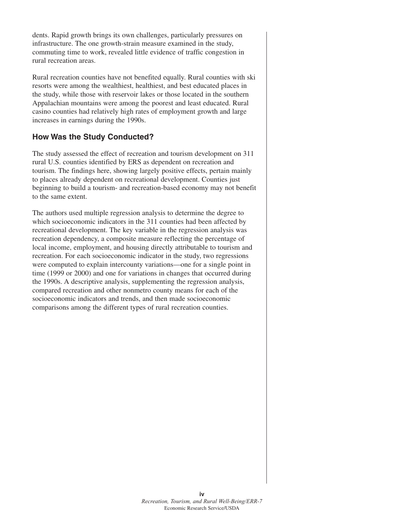dents. Rapid growth brings its own challenges, particularly pressures on infrastructure. The one growth-strain measure examined in the study, commuting time to work, revealed little evidence of traffic congestion in rural recreation areas.

Rural recreation counties have not benefited equally. Rural counties with ski resorts were among the wealthiest, healthiest, and best educated places in the study, while those with reservoir lakes or those located in the southern Appalachian mountains were among the poorest and least educated. Rural casino counties had relatively high rates of employment growth and large increases in earnings during the 1990s.

## **How Was the Study Conducted?**

The study assessed the effect of recreation and tourism development on 311 rural U.S. counties identified by ERS as dependent on recreation and tourism. The findings here, showing largely positive effects, pertain mainly to places already dependent on recreational development. Counties just beginning to build a tourism- and recreation-based economy may not benefit to the same extent.

The authors used multiple regression analysis to determine the degree to which socioeconomic indicators in the 311 counties had been affected by recreational development. The key variable in the regression analysis was recreation dependency, a composite measure reflecting the percentage of local income, employment, and housing directly attributable to tourism and recreation. For each socioeconomic indicator in the study, two regressions were computed to explain intercounty variations—one for a single point in time (1999 or 2000) and one for variations in changes that occurred during the 1990s. A descriptive analysis, supplementing the regression analysis, compared recreation and other nonmetro county means for each of the socioeconomic indicators and trends, and then made socioeconomic comparisons among the different types of rural recreation counties.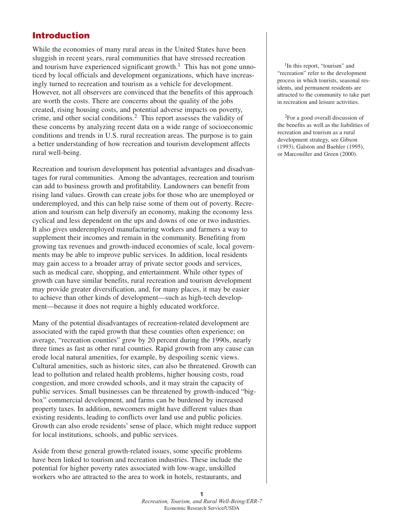## **Introduction**

While the economies of many rural areas in the United States have been sluggish in recent years, rural communities that have stressed recreation and tourism have experienced significant growth.<sup>1</sup> This has not gone unnoticed by local officials and development organizations, which have increasingly turned to recreation and tourism as a vehicle for development. However, not all observers are convinced that the benefits of this approach are worth the costs. There are concerns about the quality of the jobs created, rising housing costs, and potential adverse impacts on poverty, crime, and other social conditions.<sup>2</sup> This report assesses the validity of these concerns by analyzing recent data on a wide range of socioeconomic conditions and trends in U.S. rural recreation areas. The purpose is to gain a better understanding of how recreation and tourism development affects rural well-being.

Recreation and tourism development has potential advantages and disadvantages for rural communities. Among the advantages, recreation and tourism can add to business growth and profitability. Landowners can benefit from rising land values. Growth can create jobs for those who are unemployed or underemployed, and this can help raise some of them out of poverty. Recreation and tourism can help diversify an economy, making the economy less cyclical and less dependent on the ups and downs of one or two industries. It also gives underemployed manufacturing workers and farmers a way to supplement their incomes and remain in the community. Benefiting from growing tax revenues and growth-induced economies of scale, local governments may be able to improve public services. In addition, local residents may gain access to a broader array of private sector goods and services, such as medical care, shopping, and entertainment. While other types of growth can have similar benefits, rural recreation and tourism development may provide greater diversification, and, for many places, it may be easier to achieve than other kinds of development—such as high-tech development—because it does not require a highly educated workforce.

Many of the potential disadvantages of recreation-related development are associated with the rapid growth that these counties often experience; on average, "recreation counties" grew by 20 percent during the 1990s, nearly three times as fast as other rural counties. Rapid growth from any cause can erode local natural amenities, for example, by despoiling scenic views. Cultural amenities, such as historic sites, can also be threatened. Growth can lead to pollution and related health problems, higher housing costs, road congestion, and more crowded schools, and it may strain the capacity of public services. Small businesses can be threatened by growth-induced "bigbox" commercial development, and farms can be burdened by increased property taxes. In addition, newcomers might have different values than existing residents, leading to conflicts over land use and public policies. Growth can also erode residents' sense of place, which might reduce support for local institutions, schools, and public services.

Aside from these general growth-related issues, some specific problems have been linked to tourism and recreation industries. These include the potential for higher poverty rates associated with low-wage, unskilled workers who are attracted to the area to work in hotels, restaurants, and

<sup>1</sup>In this report, "tourism" and "recreation" refer to the development process in which tourists, seasonal residents, and permanent residents are attracted to the community to take part in recreation and leisure activities.

2For a good overall discussion of the benefits as well as the liabilities of recreation and tourism as a rural development strategy, see Gibson (1993), Galston and Baehler (1995), or Marcouiller and Green (2000).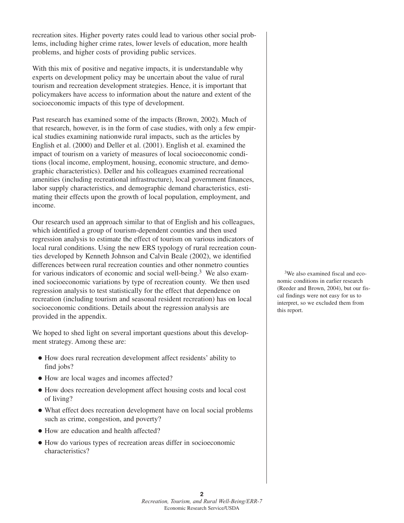recreation sites. Higher poverty rates could lead to various other social problems, including higher crime rates, lower levels of education, more health problems, and higher costs of providing public services.

With this mix of positive and negative impacts, it is understandable why experts on development policy may be uncertain about the value of rural tourism and recreation development strategies. Hence, it is important that policymakers have access to information about the nature and extent of the socioeconomic impacts of this type of development.

Past research has examined some of the impacts (Brown, 2002). Much of that research, however, is in the form of case studies, with only a few empirical studies examining nationwide rural impacts, such as the articles by English et al. (2000) and Deller et al. (2001). English et al. examined the impact of tourism on a variety of measures of local socioeconomic conditions (local income, employment, housing, economic structure, and demographic characteristics). Deller and his colleagues examined recreational amenities (including recreational infrastructure), local government finances, labor supply characteristics, and demographic demand characteristics, estimating their effects upon the growth of local population, employment, and income.

Our research used an approach similar to that of English and his colleagues, which identified a group of tourism-dependent counties and then used regression analysis to estimate the effect of tourism on various indicators of local rural conditions. Using the new ERS typology of rural recreation counties developed by Kenneth Johnson and Calvin Beale (2002), we identified differences between rural recreation counties and other nonmetro counties for various indicators of economic and social well-being.<sup>3</sup> We also examined socioeconomic variations by type of recreation county. We then used regression analysis to test statistically for the effect that dependence on recreation (including tourism and seasonal resident recreation) has on local socioeconomic conditions. Details about the regression analysis are provided in the appendix.

We hoped to shed light on several important questions about this development strategy. Among these are:

- How does rural recreation development affect residents' ability to find jobs?
- How are local wages and incomes affected?
- How does recreation development affect housing costs and local cost of living?
- What effect does recreation development have on local social problems such as crime, congestion, and poverty?
- How are education and health affected?
- How do various types of recreation areas differ in socioeconomic characteristics?

3We also examined fiscal and economic conditions in earlier research (Reeder and Brown, 2004), but our fiscal findings were not easy for us to interpret, so we excluded them from this report.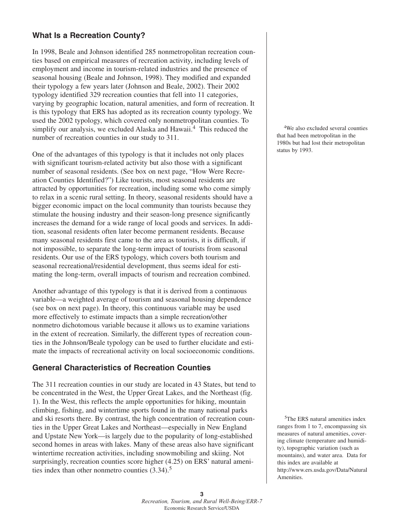## **What Is a Recreation County?**

In 1998, Beale and Johnson identified 285 nonmetropolitan recreation counties based on empirical measures of recreation activity, including levels of employment and income in tourism-related industries and the presence of seasonal housing (Beale and Johnson, 1998). They modified and expanded their typology a few years later (Johnson and Beale, 2002). Their 2002 typology identified 329 recreation counties that fell into 11 categories, varying by geographic location, natural amenities, and form of recreation. It is this typology that ERS has adopted as its recreation county typology. We used the 2002 typology, which covered only nonmetropolitan counties. To simplify our analysis, we excluded Alaska and Hawaii.<sup>4</sup> This reduced the number of recreation counties in our study to 311.

One of the advantages of this typology is that it includes not only places with significant tourism-related activity but also those with a significant number of seasonal residents. (See box on next page, "How Were Recreation Counties Identified?") Like tourists, most seasonal residents are attracted by opportunities for recreation, including some who come simply to relax in a scenic rural setting. In theory, seasonal residents should have a bigger economic impact on the local community than tourists because they stimulate the housing industry and their season-long presence significantly increases the demand for a wide range of local goods and services. In addition, seasonal residents often later become permanent residents. Because many seasonal residents first came to the area as tourists, it is difficult, if not impossible, to separate the long-term impact of tourists from seasonal residents. Our use of the ERS typology, which covers both tourism and seasonal recreational/residential development, thus seems ideal for estimating the long-term, overall impacts of tourism and recreation combined.

Another advantage of this typology is that it is derived from a continuous variable—a weighted average of tourism and seasonal housing dependence (see box on next page). In theory, this continuous variable may be used more effectively to estimate impacts than a simple recreation/other nonmetro dichotomous variable because it allows us to examine variations in the extent of recreation. Similarly, the different types of recreation counties in the Johnson/Beale typology can be used to further elucidate and estimate the impacts of recreational activity on local socioeconomic conditions.

#### **General Characteristics of Recreation Counties**

The 311 recreation counties in our study are located in 43 States, but tend to be concentrated in the West, the Upper Great Lakes, and the Northeast (fig. 1). In the West, this reflects the ample opportunities for hiking, mountain climbing, fishing, and wintertime sports found in the many national parks and ski resorts there. By contrast, the high concentration of recreation counties in the Upper Great Lakes and Northeast—especially in New England and Upstate New York—is largely due to the popularity of long-established second homes in areas with lakes. Many of these areas also have significant wintertime recreation activities, including snowmobiling and skiing. Not surprisingly, recreation counties score higher  $(4.25)$  on ERS' natural amenities index than other nonmetro counties  $(3.34)$ .<sup>5</sup>

4We also excluded several counties that had been metropolitan in the 1980s but had lost their metropolitan status by 1993.

5The ERS natural amenities index ranges from 1 to 7, encompassing six measures of natural amenities, covering climate (temperature and humidity), topographic variation (such as mountains), and water area. Data for this index are available at http://www.ers.usda.gov/Data/Natural Amenities.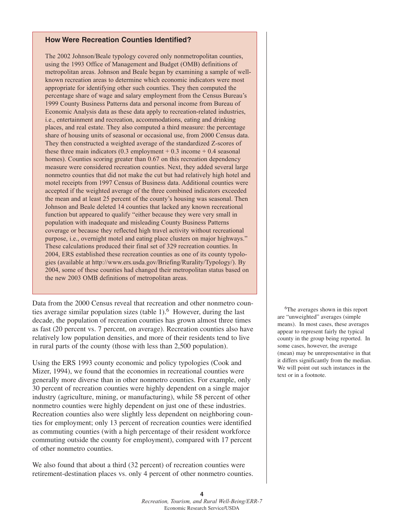#### **How Were Recreation Counties Identified?**

The 2002 Johnson/Beale typology covered only nonmetropolitan counties, using the 1993 Office of Management and Budget (OMB) definitions of metropolitan areas. Johnson and Beale began by examining a sample of wellknown recreation areas to determine which economic indicators were most appropriate for identifying other such counties. They then computed the percentage share of wage and salary employment from the Census Bureau's 1999 County Business Patterns data and personal income from Bureau of Economic Analysis data as these data apply to recreation-related industries, i.e., entertainment and recreation, accommodations, eating and drinking places, and real estate. They also computed a third measure: the percentage share of housing units of seasonal or occasional use, from 2000 Census data. They then constructed a weighted average of the standardized Z-scores of these three main indicators  $(0.3 \text{ employment} + 0.3 \text{ income} + 0.4 \text{ seasonal})$ homes). Counties scoring greater than 0.67 on this recreation dependency measure were considered recreation counties. Next, they added several large nonmetro counties that did not make the cut but had relatively high hotel and motel receipts from 1997 Census of Business data. Additional counties were accepted if the weighted average of the three combined indicators exceeded the mean and at least 25 percent of the county's housing was seasonal. Then Johnson and Beale deleted 14 counties that lacked any known recreational function but appeared to qualify "either because they were very small in population with inadequate and misleading County Business Patterns coverage or because they reflected high travel activity without recreational purpose, i.e., overnight motel and eating place clusters on major highways." These calculations produced their final set of 329 recreation counties. In 2004, ERS established these recreation counties as one of its county typologies (available at http://www.ers.usda.gov/Briefing/Rurality/Typology/). By 2004, some of these counties had changed their metropolitan status based on the new 2003 OMB definitions of metropolitan areas.

Data from the 2000 Census reveal that recreation and other nonmetro counties average similar population sizes (table 1).<sup>6</sup> However, during the last decade, the population of recreation counties has grown almost three times as fast (20 percent vs. 7 percent, on average). Recreation counties also have relatively low population densities, and more of their residents tend to live in rural parts of the county (those with less than 2,500 population).

Using the ERS 1993 county economic and policy typologies (Cook and Mizer, 1994), we found that the economies in recreational counties were generally more diverse than in other nonmetro counties. For example, only 30 percent of recreation counties were highly dependent on a single major industry (agriculture, mining, or manufacturing), while 58 percent of other nonmetro counties were highly dependent on just one of these industries. Recreation counties also were slightly less dependent on neighboring counties for employment; only 13 percent of recreation counties were identified as commuting counties (with a high percentage of their resident workforce commuting outside the county for employment), compared with 17 percent of other nonmetro counties.

We also found that about a third (32 percent) of recreation counties were retirement-destination places vs. only 4 percent of other nonmetro counties.

<sup>6</sup>The averages shown in this report are "unweighted" averages (simple means). In most cases, these averages appear to represent fairly the typical county in the group being reported. In some cases, however, the average (mean) may be unrepresentative in that it differs significantly from the median. We will point out such instances in the text or in a footnote.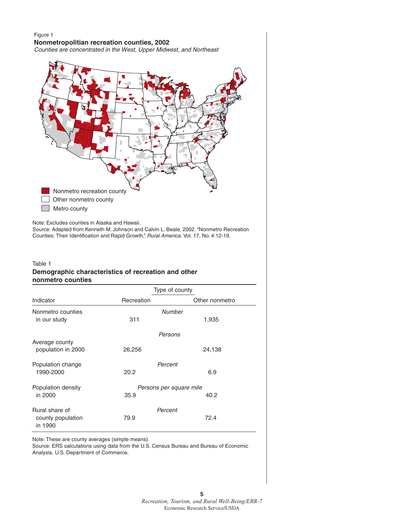#### Figure 1 **Nonmetropolitian recreation counties, 2002**

*Counties are concentrated in the West, Upper Midwest, and Northeast*



Note: Excludes counties in Alaska and Hawaii.

Source: Adapted from Kenneth M. Johnson and Calvin L. Beale, 2002. "Nonmetro Recreation Counties: Their Identification and Rapid Growth," *Rural America*, Vol. 17, No. 4:12-19.

#### Table 1

#### **Demographic characteristics of recreation and other nonmetro counties**

|                                                |                 | Type of county                  |
|------------------------------------------------|-----------------|---------------------------------|
| Indicator                                      | Recreation      | Other nonmetro                  |
| Nonmetro counties<br>in our study              | 311             | Number<br>1,935                 |
| Average county                                 |                 | Persons                         |
| population in 2000                             | 26,256          | 24,138                          |
| Population change<br>1990-2000                 | Percent<br>20.2 | 6.9                             |
| Population density<br>in 2000                  | 35.9            | Persons per square mile<br>40.2 |
| Rural share of<br>county population<br>in 1990 | Percent<br>79.9 | 72.4                            |

Note: These are county averages (simple means).

Source: ERS calculations using data from the U.S. Census Bureau and Bureau of Economic Analysis, U.S. Department of Commerce.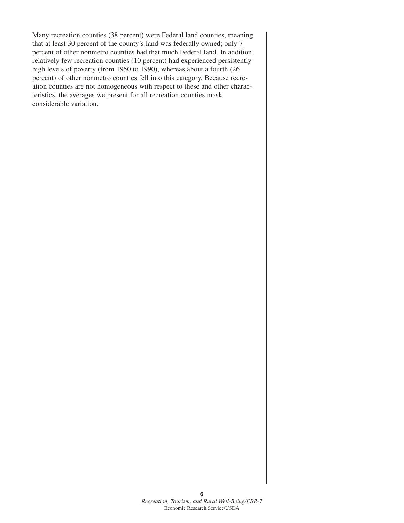Many recreation counties (38 percent) were Federal land counties, meaning that at least 30 percent of the county's land was federally owned; only 7 percent of other nonmetro counties had that much Federal land. In addition, relatively few recreation counties (10 percent) had experienced persistently high levels of poverty (from 1950 to 1990), whereas about a fourth (26 percent) of other nonmetro counties fell into this category. Because recreation counties are not homogeneous with respect to these and other characteristics, the averages we present for all recreation counties mask considerable variation.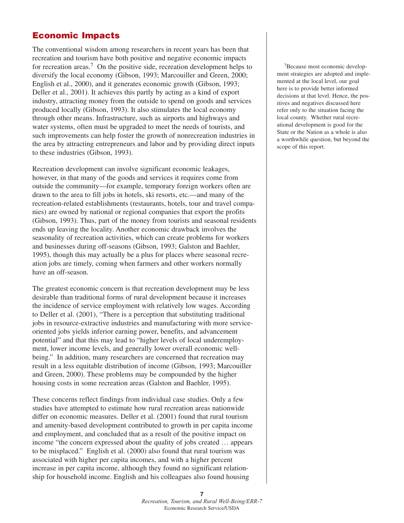## **Economic Impacts**

The conventional wisdom among researchers in recent years has been that recreation and tourism have both positive and negative economic impacts for recreation areas.<sup>7</sup> On the positive side, recreation development helps to diversify the local economy (Gibson, 1993; Marcouiller and Green, 2000; English et al., 2000), and it generates economic growth (Gibson, 1993; Deller et al., 2001). It achieves this partly by acting as a kind of export industry, attracting money from the outside to spend on goods and services produced locally (Gibson, 1993). It also stimulates the local economy through other means. Infrastructure, such as airports and highways and water systems, often must be upgraded to meet the needs of tourists, and such improvements can help foster the growth of nonrecreation industries in the area by attracting entrepreneurs and labor and by providing direct inputs to these industries (Gibson, 1993).

Recreation development can involve significant economic leakages, however, in that many of the goods and services it requires come from outside the community—for example, temporary foreign workers often are drawn to the area to fill jobs in hotels, ski resorts, etc.—and many of the recreation-related establishments (restaurants, hotels, tour and travel companies) are owned by national or regional companies that export the profits (Gibson, 1993). Thus, part of the money from tourists and seasonal residents ends up leaving the locality. Another economic drawback involves the seasonality of recreation activities, which can create problems for workers and businesses during off-seasons (Gibson, 1993; Galston and Baehler, 1995), though this may actually be a plus for places where seasonal recreation jobs are timely, coming when farmers and other workers normally have an off-season.

The greatest economic concern is that recreation development may be less desirable than traditional forms of rural development because it increases the incidence of service employment with relatively low wages. According to Deller et al. (2001), "There is a perception that substituting traditional jobs in resource-extractive industries and manufacturing with more serviceoriented jobs yields inferior earning power, benefits, and advancement potential" and that this may lead to "higher levels of local underemployment, lower income levels, and generally lower overall economic wellbeing." In addition, many researchers are concerned that recreation may result in a less equitable distribution of income (Gibson, 1993; Marcouiller and Green, 2000). These problems may be compounded by the higher housing costs in some recreation areas (Galston and Baehler, 1995).

These concerns reflect findings from individual case studies. Only a few studies have attempted to estimate how rural recreation areas nationwide differ on economic measures. Deller et al. (2001) found that rural tourism and amenity-based development contributed to growth in per capita income and employment, and concluded that as a result of the positive impact on income "the concern expressed about the quality of jobs created … appears to be misplaced." English et al. (2000) also found that rural tourism was associated with higher per capita incomes, and with a higher percent increase in per capita income, although they found no significant relationship for household income. English and his colleagues also found housing

7Because most economic development strategies are adopted and implemented at the local level, our goal here is to provide better informed decisions at that level. Hence, the positives and negatives discussed here refer only to the situation facing the local county. Whether rural recreational development is good for the State or the Nation as a whole is also a worthwhile question, but beyond the scope of this report.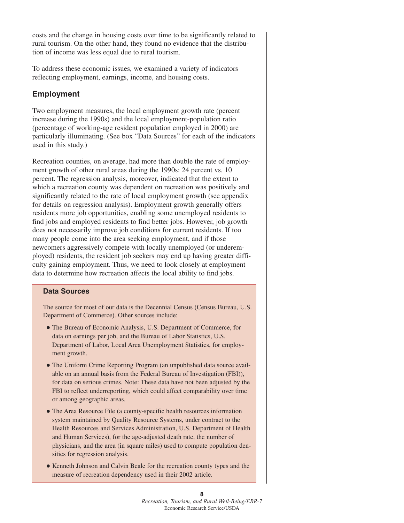costs and the change in housing costs over time to be significantly related to rural tourism. On the other hand, they found no evidence that the distribution of income was less equal due to rural tourism.

To address these economic issues, we examined a variety of indicators reflecting employment, earnings, income, and housing costs.

## **Employment**

Two employment measures, the local employment growth rate (percent increase during the 1990s) and the local employment-population ratio (percentage of working-age resident population employed in 2000) are particularly illuminating. (See box "Data Sources" for each of the indicators used in this study.)

Recreation counties, on average, had more than double the rate of employment growth of other rural areas during the 1990s: 24 percent vs. 10 percent. The regression analysis, moreover, indicated that the extent to which a recreation county was dependent on recreation was positively and significantly related to the rate of local employment growth (see appendix for details on regression analysis). Employment growth generally offers residents more job opportunities, enabling some unemployed residents to find jobs and employed residents to find better jobs. However, job growth does not necessarily improve job conditions for current residents. If too many people come into the area seeking employment, and if those newcomers aggressively compete with locally unemployed (or underemployed) residents, the resident job seekers may end up having greater difficulty gaining employment. Thus, we need to look closely at employment data to determine how recreation affects the local ability to find jobs.

#### **Data Sources**

The source for most of our data is the Decennial Census (Census Bureau, U.S. Department of Commerce). Other sources include:

- The Bureau of Economic Analysis, U.S. Department of Commerce, for data on earnings per job, and the Bureau of Labor Statistics, U.S. Department of Labor, Local Area Unemployment Statistics, for employment growth.
- The Uniform Crime Reporting Program (an unpublished data source available on an annual basis from the Federal Bureau of Investigation (FBI)), for data on serious crimes. Note: These data have not been adjusted by the FBI to reflect underreporting, which could affect comparability over time or among geographic areas.
- The Area Resource File (a county-specific health resources information system maintained by Quality Resource Systems, under contract to the Health Resources and Services Administration, U.S. Department of Health and Human Services), for the age-adjusted death rate, the number of physicians, and the area (in square miles) used to compute population densities for regression analysis.
- Kenneth Johnson and Calvin Beale for the recreation county types and the measure of recreation dependency used in their 2002 article.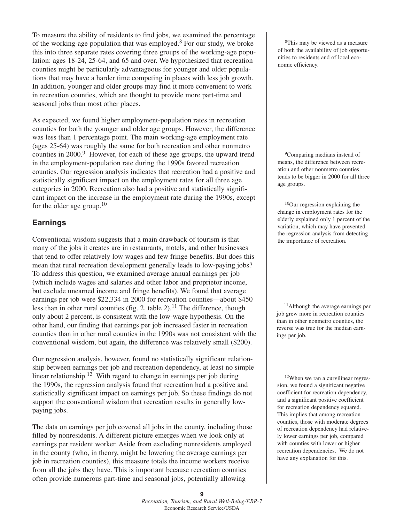To measure the ability of residents to find jobs, we examined the percentage of the working-age population that was employed.<sup>8</sup> For our study, we broke this into three separate rates covering three groups of the working-age population: ages 18-24, 25-64, and 65 and over. We hypothesized that recreation counties might be particularly advantageous for younger and older populations that may have a harder time competing in places with less job growth. In addition, younger and older groups may find it more convenient to work in recreation counties, which are thought to provide more part-time and seasonal jobs than most other places.

As expected, we found higher employment-population rates in recreation counties for both the younger and older age groups. However, the difference was less than 1 percentage point. The main working-age employment rate (ages 25-64) was roughly the same for both recreation and other nonmetro counties in 2000.<sup>9</sup> However, for each of these age groups, the upward trend in the employment-population rate during the 1990s favored recreation counties. Our regression analysis indicates that recreation had a positive and statistically significant impact on the employment rates for all three age categories in 2000. Recreation also had a positive and statistically significant impact on the increase in the employment rate during the 1990s, except for the older age group.<sup>10</sup>

## **Earnings**

Conventional wisdom suggests that a main drawback of tourism is that many of the jobs it creates are in restaurants, motels, and other businesses that tend to offer relatively low wages and few fringe benefits. But does this mean that rural recreation development generally leads to low-paying jobs? To address this question, we examined average annual earnings per job (which include wages and salaries and other labor and proprietor income, but exclude unearned income and fringe benefits). We found that average earnings per job were \$22,334 in 2000 for recreation counties—about \$450 less than in other rural counties (fig. 2, table 2).<sup>11</sup> The difference, though only about 2 percent, is consistent with the low-wage hypothesis. On the other hand, our finding that earnings per job increased faster in recreation counties than in other rural counties in the 1990s was not consistent with the conventional wisdom, but again, the difference was relatively small (\$200).

Our regression analysis, however, found no statistically significant relationship between earnings per job and recreation dependency, at least no simple linear relationship.<sup>12</sup> With regard to change in earnings per job during the 1990s, the regression analysis found that recreation had a positive and statistically significant impact on earnings per job. So these findings do not support the conventional wisdom that recreation results in generally lowpaying jobs.

The data on earnings per job covered all jobs in the county, including those filled by nonresidents. A different picture emerges when we look only at earnings per resident worker. Aside from excluding nonresidents employed in the county (who, in theory, might be lowering the average earnings per job in recreation counties), this measure totals the income workers receive from all the jobs they have. This is important because recreation counties often provide numerous part-time and seasonal jobs, potentially allowing

8This may be viewed as a measure of both the availability of job opportunities to residents and of local economic efficiency.

9Comparing medians instead of means, the difference between recreation and other nonmetro counties tends to be bigger in 2000 for all three age groups.

10Our regression explaining the change in employment rates for the elderly explained only 1 percent of the variation, which may have prevented the regression analysis from detecting the importance of recreation.

<sup>11</sup>Although the average earnings per job grew more in recreation counties than in other nonmetro counties, the reverse was true for the median earnings per job.

12When we ran a curvilinear regression, we found a significant negative coefficient for recreation dependency, and a significant positive coefficient for recreation dependency squared. This implies that among recreation counties, those with moderate degrees of recreation dependency had relatively lower earnings per job, compared with counties with lower or higher recreation dependencies. We do not have any explanation for this.

**<sup>9</sup>**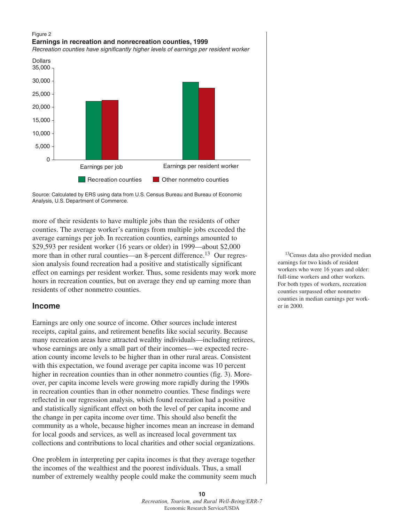#### Figure 2 **Earnings in recreation and nonrecreation counties, 1999** *Recreation counties have significantly higher levels of earnings per resident worker*



Source: Calculated by ERS using data from U.S. Census Bureau and Bureau of Economic Analysis, U.S. Department of Commerce.

more of their residents to have multiple jobs than the residents of other counties. The average worker's earnings from multiple jobs exceeded the average earnings per job. In recreation counties, earnings amounted to \$29,593 per resident worker (16 years or older) in 1999—about \$2,000 more than in other rural counties—an 8-percent difference.<sup>13</sup> Our regression analysis found recreation had a positive and statistically significant effect on earnings per resident worker. Thus, some residents may work more hours in recreation counties, but on average they end up earning more than residents of other nonmetro counties.

#### **Income**

Earnings are only one source of income. Other sources include interest receipts, capital gains, and retirement benefits like social security. Because many recreation areas have attracted wealthy individuals—including retirees, whose earnings are only a small part of their incomes—we expected recreation county income levels to be higher than in other rural areas. Consistent with this expectation, we found average per capita income was 10 percent higher in recreation counties than in other nonmetro counties (fig. 3). Moreover, per capita income levels were growing more rapidly during the 1990s in recreation counties than in other nonmetro counties. These findings were reflected in our regression analysis, which found recreation had a positive and statistically significant effect on both the level of per capita income and the change in per capita income over time. This should also benefit the community as a whole, because higher incomes mean an increase in demand for local goods and services, as well as increased local government tax collections and contributions to local charities and other social organizations.

One problem in interpreting per capita incomes is that they average together the incomes of the wealthiest and the poorest individuals. Thus, a small number of extremely wealthy people could make the community seem much

13Census data also provided median earnings for two kinds of resident workers who were 16 years and older: full-time workers and other workers. For both types of workers, recreation counties surpassed other nonmetro counties in median earnings per worker in 2000.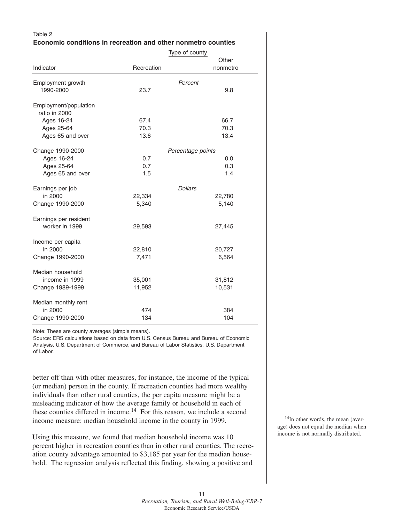#### Table 2 **Economic conditions in recreation and other nonmetro counties**

|                                        |            | Type of county    |
|----------------------------------------|------------|-------------------|
| Indicator                              | Recreation | Other<br>nonmetro |
| Employment growth                      |            | Percent           |
| 1990-2000                              | 23.7       | 9.8               |
| Employment/population<br>ratio in 2000 |            |                   |
| Ages 16-24                             | 67.4       | 66.7              |
| Ages 25-64                             | 70.3       | 70.3              |
| Ages 65 and over                       | 13.6       | 13.4              |
| Change 1990-2000                       |            | Percentage points |
| Ages 16-24                             | 0.7        | 0.0               |
| Ages 25-64                             | 0.7        | 0.3               |
| Ages 65 and over                       | 1.5        | 1.4               |
| Earnings per job                       |            | <b>Dollars</b>    |
| in 2000                                | 22,334     | 22,780            |
| Change 1990-2000                       | 5,340      | 5,140             |
| Earnings per resident                  |            |                   |
| worker in 1999                         | 29,593     | 27,445            |
| Income per capita                      |            |                   |
| in 2000                                | 22,810     | 20,727            |
| Change 1990-2000                       | 7,471      | 6,564             |
| Median household                       |            |                   |
| income in 1999                         | 35,001     | 31,812            |
| Change 1989-1999                       | 11,952     | 10,531            |
| Median monthly rent                    |            |                   |
| in 2000                                | 474        | 384               |
| Change 1990-2000                       | 134        | 104               |

Note: These are county averages (simple means).

Source: ERS calculations based on data from U.S. Census Bureau and Bureau of Economic Analysis, U.S. Department of Commerce, and Bureau of Labor Statistics, U.S. Department of Labor.

better off than with other measures, for instance, the income of the typical (or median) person in the county. If recreation counties had more wealthy individuals than other rural counties, the per capita measure might be a misleading indicator of how the average family or household in each of these counties differed in income.<sup>14</sup> For this reason, we include a second income measure: median household income in the county in 1999.

Using this measure, we found that median household income was 10 percent higher in recreation counties than in other rural counties. The recreation county advantage amounted to \$3,185 per year for the median household. The regression analysis reflected this finding, showing a positive and

14In other words, the mean (average) does not equal the median when income is not normally distributed.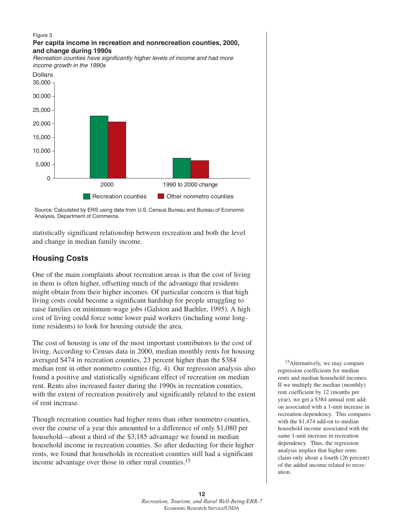#### Figure 3 **Per capita income in recreation and nonrecreation counties, 2000, and change during 1990s**

*Recreation counties have significantly higher levels of income and had more income growth in the 1990s*



Source: Calculated by ERS using data from U.S. Census Bureau and Bureau of Economic Analysis, Department of Commerce.

statistically significant relationship between recreation and both the level and change in median family income.

## **Housing Costs**

One of the main complaints about recreation areas is that the cost of living in them is often higher, offsetting much of the advantage that residents might obtain from their higher incomes. Of particular concern is that high living costs could become a significant hardship for people struggling to raise families on minimum-wage jobs (Galston and Baehler, 1995). A high cost of living could force some lower paid workers (including some longtime residents) to look for housing outside the area.

The cost of housing is one of the most important contributors to the cost of living. According to Census data in 2000, median monthly rents for housing averaged \$474 in recreation counties, 23 percent higher than the \$384 median rent in other nonmetro counties (fig. 4). Our regression analysis also found a positive and statistically significant effect of recreation on median rent. Rents also increased faster during the 1990s in recreation counties, with the extent of recreation positively and significantly related to the extent of rent increase.

Though recreation counties had higher rents than other nonmetro counties, over the course of a year this amounted to a difference of only \$1,080 per household—about a third of the \$3,185 advantage we found in median household income in recreation counties. So after deducting for their higher rents, we found that households in recreation counties still had a significant income advantage over those in other rural counties.<sup>15</sup>

15Alternatively, we may compare regression coefficients for median rents and median household incomes. If we multiply the median (monthly) rent coefficient by 12 (months per year), we get a \$384 annual rent addon associated with a 1-unit increase in recreation dependency. This compares with the \$1,474 add-on to median household income associated with the same 1-unit increase in recreation dependency. Thus, the regression analysis implies that higher rents claim only about a fourth (26 percent) of the added income related to recreation.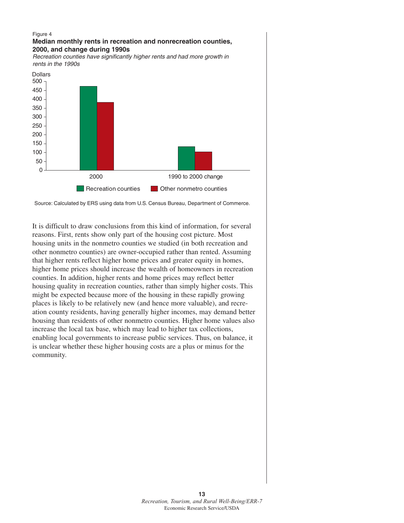#### Figure 4 **Median monthly rents in recreation and nonrecreation counties, 2000, and change during 1990s** *Recreation counties have significantly higher rents and had more growth in rents in the 1990s*



Source: Calculated by ERS using data from U.S. Census Bureau, Department of Commerce.

It is difficult to draw conclusions from this kind of information, for several reasons. First, rents show only part of the housing cost picture. Most housing units in the nonmetro counties we studied (in both recreation and other nonmetro counties) are owner-occupied rather than rented. Assuming that higher rents reflect higher home prices and greater equity in homes, higher home prices should increase the wealth of homeowners in recreation counties. In addition, higher rents and home prices may reflect better housing quality in recreation counties, rather than simply higher costs. This might be expected because more of the housing in these rapidly growing places is likely to be relatively new (and hence more valuable), and recreation county residents, having generally higher incomes, may demand better housing than residents of other nonmetro counties. Higher home values also increase the local tax base, which may lead to higher tax collections, enabling local governments to increase public services. Thus, on balance, it is unclear whether these higher housing costs are a plus or minus for the community.

> **13** *Recreation, Tourism, and Rural Well-Being/ERR-7* Economic Research Service/USDA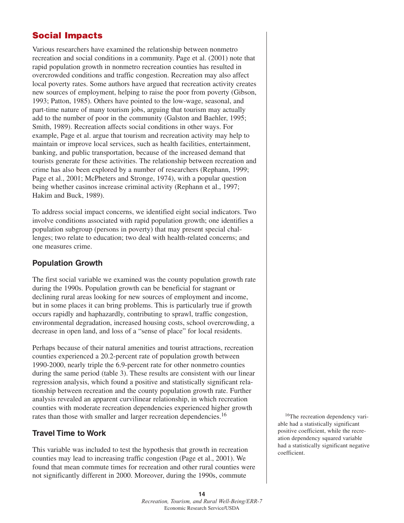## **Social Impacts**

Various researchers have examined the relationship between nonmetro recreation and social conditions in a community. Page et al. (2001) note that rapid population growth in nonmetro recreation counties has resulted in overcrowded conditions and traffic congestion. Recreation may also affect local poverty rates. Some authors have argued that recreation activity creates new sources of employment, helping to raise the poor from poverty (Gibson, 1993; Patton, 1985). Others have pointed to the low-wage, seasonal, and part-time nature of many tourism jobs, arguing that tourism may actually add to the number of poor in the community (Galston and Baehler, 1995; Smith, 1989). Recreation affects social conditions in other ways. For example, Page et al. argue that tourism and recreation activity may help to maintain or improve local services, such as health facilities, entertainment, banking, and public transportation, because of the increased demand that tourists generate for these activities. The relationship between recreation and crime has also been explored by a number of researchers (Rephann, 1999; Page et al., 2001; McPheters and Stronge, 1974), with a popular question being whether casinos increase criminal activity (Rephann et al., 1997; Hakim and Buck, 1989).

To address social impact concerns, we identified eight social indicators. Two involve conditions associated with rapid population growth; one identifies a population subgroup (persons in poverty) that may present special challenges; two relate to education; two deal with health-related concerns; and one measures crime.

## **Population Growth**

The first social variable we examined was the county population growth rate during the 1990s. Population growth can be beneficial for stagnant or declining rural areas looking for new sources of employment and income, but in some places it can bring problems. This is particularly true if growth occurs rapidly and haphazardly, contributing to sprawl, traffic congestion, environmental degradation, increased housing costs, school overcrowding, a decrease in open land, and loss of a "sense of place" for local residents.

Perhaps because of their natural amenities and tourist attractions, recreation counties experienced a 20.2-percent rate of population growth between 1990-2000, nearly triple the 6.9-percent rate for other nonmetro counties during the same period (table 3). These results are consistent with our linear regression analysis, which found a positive and statistically significant relationship between recreation and the county population growth rate. Further analysis revealed an apparent curvilinear relationship, in which recreation counties with moderate recreation dependencies experienced higher growth rates than those with smaller and larger recreation dependencies.<sup>16</sup>

## **Travel Time to Work**

This variable was included to test the hypothesis that growth in recreation counties may lead to increasing traffic congestion (Page et al., 2001). We found that mean commute times for recreation and other rural counties were not significantly different in 2000. Moreover, during the 1990s, commute

<sup>16</sup>The recreation dependency variable had a statistically significant positive coefficient, while the recreation dependency squared variable had a statistically significant negative coefficient.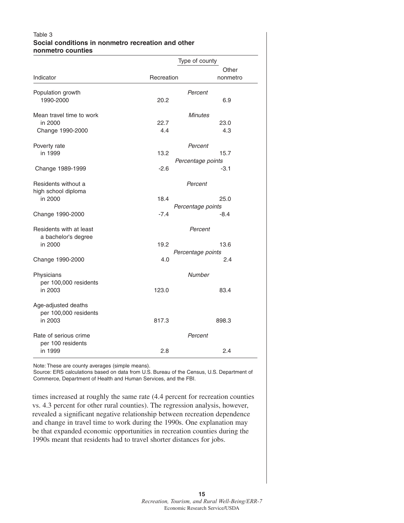#### Table 3 **Social conditions in nonmetro recreation and other nonmetro counties**

|                          |            | Type of county    |
|--------------------------|------------|-------------------|
| Indicator                | Recreation | Other<br>nonmetro |
| Population growth        |            | Percent           |
| 1990-2000                | 20.2       | 6.9               |
| Mean travel time to work |            | <b>Minutes</b>    |
| in 2000                  | 22.7       | 23.0              |
| Change 1990-2000         | 4.4        | 4.3               |
| Poverty rate             |            | Percent           |
| in 1999                  | 13.2       | 15.7              |
|                          |            | Percentage points |
| Change 1989-1999         | $-2.6$     | $-3.1$            |
| Residents without a      |            | Percent           |
| high school diploma      |            |                   |
| in 2000                  | 18.4       | 25.0              |
|                          |            | Percentage points |
| Change 1990-2000         | $-7.4$     | $-8.4$            |
| Residents with at least  |            | Percent           |
| a bachelor's degree      |            |                   |
| in 2000                  | 19.2       | 13.6              |
|                          |            | Percentage points |
| Change 1990-2000         | 4.0        | 2.4               |
| Physicians               |            | Number            |
| per 100,000 residents    |            |                   |
| in 2003                  | 123.0      | 83.4              |
| Age-adjusted deaths      |            |                   |
| per 100,000 residents    |            |                   |
| in 2003                  | 817.3      | 898.3             |
| Rate of serious crime    |            | Percent           |
| per 100 residents        |            |                   |
| in 1999                  | 2.8        | 2.4               |

Note: These are county averages (simple means).

Source: ERS calculations based on data from U.S. Bureau of the Census, U.S. Department of Commerce, Department of Health and Human Services, and the FBI.

times increased at roughly the same rate (4.4 percent for recreation counties vs. 4.3 percent for other rural counties). The regression analysis, however, revealed a significant negative relationship between recreation dependence and change in travel time to work during the 1990s. One explanation may be that expanded economic opportunities in recreation counties during the 1990s meant that residents had to travel shorter distances for jobs.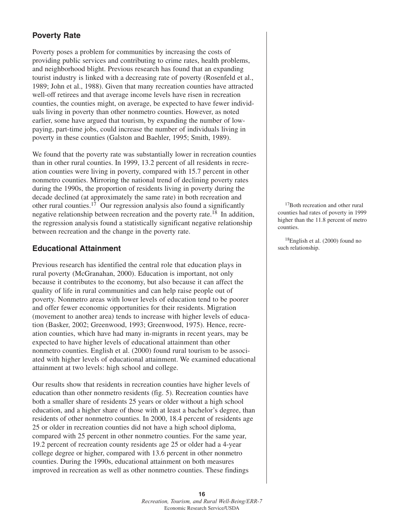## **Poverty Rate**

Poverty poses a problem for communities by increasing the costs of providing public services and contributing to crime rates, health problems, and neighborhood blight. Previous research has found that an expanding tourist industry is linked with a decreasing rate of poverty (Rosenfeld et al., 1989; John et al., 1988). Given that many recreation counties have attracted well-off retirees and that average income levels have risen in recreation counties, the counties might, on average, be expected to have fewer individuals living in poverty than other nonmetro counties. However, as noted earlier, some have argued that tourism, by expanding the number of lowpaying, part-time jobs, could increase the number of individuals living in poverty in these counties (Galston and Baehler, 1995; Smith, 1989).

We found that the poverty rate was substantially lower in recreation counties than in other rural counties. In 1999, 13.2 percent of all residents in recreation counties were living in poverty, compared with 15.7 percent in other nonmetro counties. Mirroring the national trend of declining poverty rates during the 1990s, the proportion of residents living in poverty during the decade declined (at approximately the same rate) in both recreation and other rural counties.<sup>17</sup> Our regression analysis also found a significantly negative relationship between recreation and the poverty rate.<sup>18</sup> In addition, the regression analysis found a statistically significant negative relationship between recreation and the change in the poverty rate.

#### **Educational Attainment**

Previous research has identified the central role that education plays in rural poverty (McGranahan, 2000). Education is important, not only because it contributes to the economy, but also because it can affect the quality of life in rural communities and can help raise people out of poverty. Nonmetro areas with lower levels of education tend to be poorer and offer fewer economic opportunities for their residents. Migration (movement to another area) tends to increase with higher levels of education (Basker, 2002; Greenwood, 1993; Greenwood, 1975). Hence, recreation counties, which have had many in-migrants in recent years, may be expected to have higher levels of educational attainment than other nonmetro counties. English et al. (2000) found rural tourism to be associated with higher levels of educational attainment. We examined educational attainment at two levels: high school and college.

Our results show that residents in recreation counties have higher levels of education than other nonmetro residents (fig. 5). Recreation counties have both a smaller share of residents 25 years or older without a high school education, and a higher share of those with at least a bachelor's degree, than residents of other nonmetro counties. In 2000, 18.4 percent of residents age 25 or older in recreation counties did not have a high school diploma, compared with 25 percent in other nonmetro counties. For the same year, 19.2 percent of recreation county residents age 25 or older had a 4-year college degree or higher, compared with 13.6 percent in other nonmetro counties. During the 1990s, educational attainment on both measures improved in recreation as well as other nonmetro counties. These findings

17Both recreation and other rural counties had rates of poverty in 1999 higher than the 11.8 percent of metro counties.

18English et al. (2000) found no such relationship.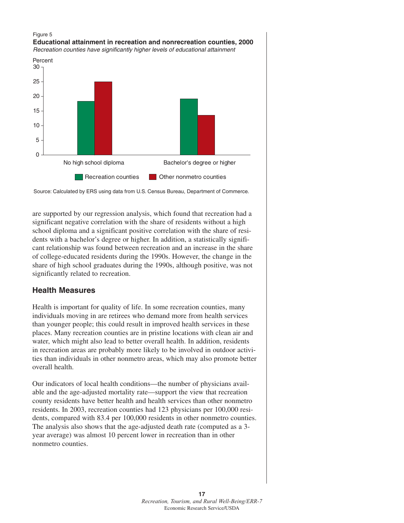### Figure 5 **Educational attainment in recreation and nonrecreation counties, 2000** *Recreation counties have significantly higher levels of educational attainment* Percent



Source: Calculated by ERS using data from U.S. Census Bureau, Department of Commerce.

are supported by our regression analysis, which found that recreation had a significant negative correlation with the share of residents without a high school diploma and a significant positive correlation with the share of residents with a bachelor's degree or higher. In addition, a statistically significant relationship was found between recreation and an increase in the share of college-educated residents during the 1990s. However, the change in the share of high school graduates during the 1990s, although positive, was not significantly related to recreation.

## **Health Measures**

Health is important for quality of life. In some recreation counties, many individuals moving in are retirees who demand more from health services than younger people; this could result in improved health services in these places. Many recreation counties are in pristine locations with clean air and water, which might also lead to better overall health. In addition, residents in recreation areas are probably more likely to be involved in outdoor activities than individuals in other nonmetro areas, which may also promote better overall health.

Our indicators of local health conditions—the number of physicians available and the age-adjusted mortality rate—support the view that recreation county residents have better health and health services than other nonmetro residents. In 2003, recreation counties had 123 physicians per 100,000 residents, compared with 83.4 per 100,000 residents in other nonmetro counties. The analysis also shows that the age-adjusted death rate (computed as a 3 year average) was almost 10 percent lower in recreation than in other nonmetro counties.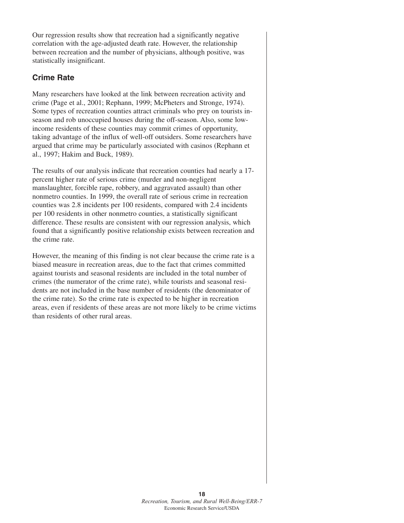Our regression results show that recreation had a significantly negative correlation with the age-adjusted death rate. However, the relationship between recreation and the number of physicians, although positive, was statistically insignificant.

## **Crime Rate**

Many researchers have looked at the link between recreation activity and crime (Page et al., 2001; Rephann, 1999; McPheters and Stronge, 1974). Some types of recreation counties attract criminals who prey on tourists inseason and rob unoccupied houses during the off-season. Also, some lowincome residents of these counties may commit crimes of opportunity, taking advantage of the influx of well-off outsiders. Some researchers have argued that crime may be particularly associated with casinos (Rephann et al., 1997; Hakim and Buck, 1989).

The results of our analysis indicate that recreation counties had nearly a 17 percent higher rate of serious crime (murder and non-negligent manslaughter, forcible rape, robbery, and aggravated assault) than other nonmetro counties. In 1999, the overall rate of serious crime in recreation counties was 2.8 incidents per 100 residents, compared with 2.4 incidents per 100 residents in other nonmetro counties, a statistically significant difference. These results are consistent with our regression analysis, which found that a significantly positive relationship exists between recreation and the crime rate.

However, the meaning of this finding is not clear because the crime rate is a biased measure in recreation areas, due to the fact that crimes committed against tourists and seasonal residents are included in the total number of crimes (the numerator of the crime rate), while tourists and seasonal residents are not included in the base number of residents (the denominator of the crime rate). So the crime rate is expected to be higher in recreation areas, even if residents of these areas are not more likely to be crime victims than residents of other rural areas.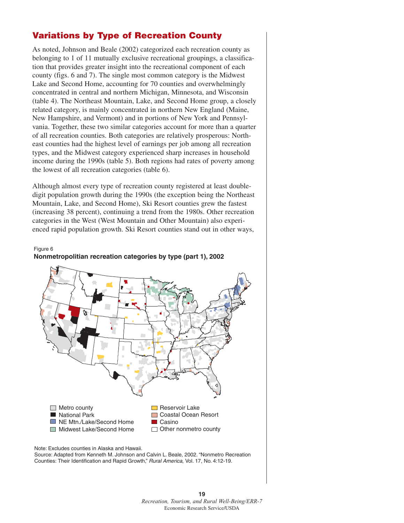## **Variations by Type of Recreation County**

As noted, Johnson and Beale (2002) categorized each recreation county as belonging to 1 of 11 mutually exclusive recreational groupings, a classification that provides greater insight into the recreational component of each county (figs. 6 and 7). The single most common category is the Midwest Lake and Second Home, accounting for 70 counties and overwhelmingly concentrated in central and northern Michigan, Minnesota, and Wisconsin (table 4). The Northeast Mountain, Lake, and Second Home group, a closely related category, is mainly concentrated in northern New England (Maine, New Hampshire, and Vermont) and in portions of New York and Pennsylvania. Together, these two similar categories account for more than a quarter of all recreation counties. Both categories are relatively prosperous: Northeast counties had the highest level of earnings per job among all recreation types, and the Midwest category experienced sharp increases in household income during the 1990s (table 5). Both regions had rates of poverty among the lowest of all recreation categories (table 6).

Although almost every type of recreation county registered at least doubledigit population growth during the 1990s (the exception being the Northeast Mountain, Lake, and Second Home), Ski Resort counties grew the fastest (increasing 38 percent), continuing a trend from the 1980s. Other recreation categories in the West (West Mountain and Other Mountain) also experienced rapid population growth. Ski Resort counties stand out in other ways,

#### Figure 6 **Nonmetropolitian recreation categories by type (part 1), 2002**



Note: Excludes counties in Alaska and Hawaii.

Source: Adapted from Kenneth M. Johnson and Calvin L. Beale, 2002. "Nonmetro Recreation Counties: Their Identification and Rapid Growth," *Rural America*, Vol. 17, No. 4:12-19.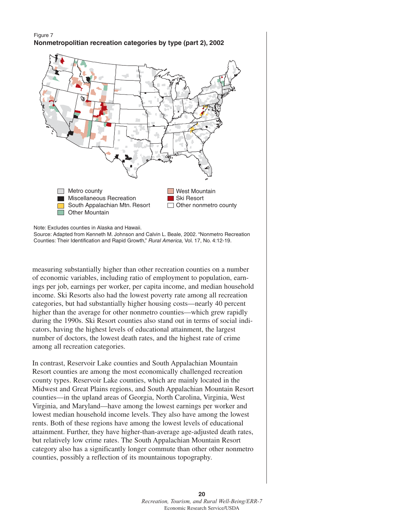#### Figure 7 **Nonmetropolitian recreation categories by type (part 2), 2002**



Note: Excludes counties in Alaska and Hawaii.

Source: Adapted from Kenneth M. Johnson and Calvin L. Beale, 2002. "Nonmetro Recreation Counties: Their Identification and Rapid Growth," *Rural America*, Vol. 17, No. 4:12-19.

measuring substantially higher than other recreation counties on a number of economic variables, including ratio of employment to population, earnings per job, earnings per worker, per capita income, and median household income. Ski Resorts also had the lowest poverty rate among all recreation categories, but had substantially higher housing costs—nearly 40 percent higher than the average for other nonmetro counties—which grew rapidly during the 1990s. Ski Resort counties also stand out in terms of social indicators, having the highest levels of educational attainment, the largest number of doctors, the lowest death rates, and the highest rate of crime among all recreation categories.

In contrast, Reservoir Lake counties and South Appalachian Mountain Resort counties are among the most economically challenged recreation county types. Reservoir Lake counties, which are mainly located in the Midwest and Great Plains regions, and South Appalachian Mountain Resort counties—in the upland areas of Georgia, North Carolina, Virginia, West Virginia, and Maryland—have among the lowest earnings per worker and lowest median household income levels. They also have among the lowest rents. Both of these regions have among the lowest levels of educational attainment. Further, they have higher-than-average age-adjusted death rates, but relatively low crime rates. The South Appalachian Mountain Resort category also has a significantly longer commute than other other nonmetro counties, possibly a reflection of its mountainous topography.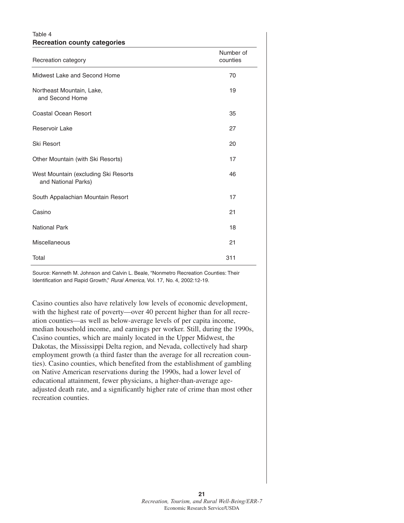| Table 4                                                     |                       |
|-------------------------------------------------------------|-----------------------|
| <b>Recreation county categories</b>                         |                       |
| Recreation category                                         | Number of<br>counties |
| Midwest Lake and Second Home                                | 70                    |
| Northeast Mountain, Lake,<br>and Second Home                | 19                    |
| <b>Coastal Ocean Resort</b>                                 | 35                    |
| Reservoir Lake                                              | 27                    |
| Ski Resort                                                  | 20                    |
| Other Mountain (with Ski Resorts)                           | 17                    |
| West Mountain (excluding Ski Resorts<br>and National Parks) | 46                    |
| South Appalachian Mountain Resort                           | 17                    |
| Casino                                                      | 21                    |
| <b>National Park</b>                                        | 18                    |
| Miscellaneous                                               | 21                    |
| Total                                                       | 311                   |

Source: Kenneth M. Johnson and Calvin L. Beale, "Nonmetro Recreation Counties: Their Identification and Rapid Growth," Rural America, Vol. 17, No. 4, 2002:12-19.

Casino counties also have relatively low levels of economic development, with the highest rate of poverty—over 40 percent higher than for all recreation counties—as well as below-average levels of per capita income, median household income, and earnings per worker. Still, during the 1990s, Casino counties, which are mainly located in the Upper Midwest, the Dakotas, the Mississippi Delta region, and Nevada, collectively had sharp employment growth (a third faster than the average for all recreation counties). Casino counties, which benefited from the establishment of gambling on Native American reservations during the 1990s, had a lower level of educational attainment, fewer physicians, a higher-than-average ageadjusted death rate, and a significantly higher rate of crime than most other recreation counties.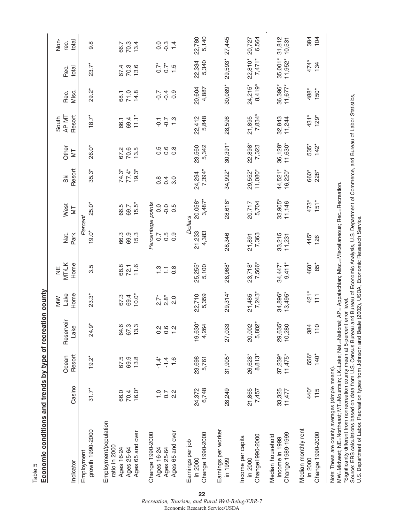| Economic conditions and trends by type of recreation county<br>Table 5                 |                         |                          |                     |                           |                                        |                                        |                                       |                                    |                            |                           |                             |                        |                        |
|----------------------------------------------------------------------------------------|-------------------------|--------------------------|---------------------|---------------------------|----------------------------------------|----------------------------------------|---------------------------------------|------------------------------------|----------------------------|---------------------------|-----------------------------|------------------------|------------------------|
| Indicator                                                                              | Casino                  | Resort<br>Ocean          | Reservoir<br>Lake   | Home<br>Lake<br><b>MW</b> | <b>MT/LK</b><br>Home<br>$\frac{11}{2}$ | Nat.<br>Park                           | West<br>Σ                             | Resort<br>Ski                      | Other<br>ļΣ                | AP MT<br>Resort<br>South  | Misc.<br>Rec.               | total<br>Rec.          | Non-<br>total<br>rec.  |
| growth 1990-2000<br>Employment                                                         | $31.7*$                 | $19.2*$                  | 24.9*               | $23.3*$                   | 3.5                                    | Percent<br>19.0*                       | $25.0*$                               | $35.3*$                            | 26.0*                      | $18.7*$                   | 29.2*                       | $23.7*$                | $9.\overline{8}$       |
| Employment/population<br>Ages 65 and over<br>ratio in 2000<br>Ages 16-24<br>Ages 25-64 | $16.0*$<br>70.4<br>66.0 | 67.5<br>13.8<br>69.9     | 6<br>6 7 3<br>6 7 9 | $10.0*$<br>69.4<br>67.3   | 88.1<br>72.1<br>11.6                   | 66.3<br>69.9<br>15.3                   | $15.5*$<br>66.5<br>69.7               | $\frac{74.3}{77.4}$<br>$19.3*$     | 70.6<br>13.5<br>67.2       | 69.4<br>11.1*<br>66.1     | 71.8<br>68.1                | 70.3<br>13.6<br>67.4   | $70.3$<br>13.4<br>66.7 |
| Ages 65 and over<br>Change 1990-2000<br>Ages 16-24<br>Ages 25-64                       | 0 N N<br>0 N<br>0 N     | $-1.4*$<br>$-1.4$<br>1.6 | $0.62$<br>$0.62$    | 7<br>20<br>20<br>20<br>20 | $\frac{10}{11}$<br>$0.\overline{8}$    | Percentage points<br>0.9<br>0.5<br>0.7 | $\overline{0}$ .<br>$-0.0$<br>0.5     | $0.4$<br>$0.0$<br>$0.\overline{8}$ | 5<br>0<br>0<br>0<br>0<br>0 | $0.7$<br>$-0.7$<br>$-1.3$ | $\frac{1}{9}$ 0.9<br>$-0.7$ | $7.770$<br>0.0 10      | 0.0<br>$-0.3$<br>1.4   |
| Change 1990-2000<br>Earnings per job<br>in 2000                                        | 6,748<br>24,372         | 23,698<br>5,761          | 19,630*<br>4,264    | 22,710<br>5,359           | 25,255*<br>5,100                       | 4,383<br>21,233                        | 20,058*<br>$3,487*$<br><b>Dollars</b> | 7,394*<br>24,294                   | 5,342<br>23,560            | 5,848<br>22,412           | 4,887<br>20,604             | 5,340<br>22,334        | 5,140<br>22,780        |
| Earnings per worker<br>in 1999                                                         | 28,249                  | $31,905*$                | 27,033              | $29,314*$                 | 28,968*                                | 28,346                                 | $28,618*$                             | 34,992*                            | $30,391*$                  | 28,596                    | 30,089*                     | 29,593*                | 27,445                 |
| Change1990-2000<br>Income per capita<br>in 2000                                        | 21,865<br>7,457         | 26,628*<br>$8,813*$      | 20,002<br>5,802*    | 21,485<br>7,243*          | 7,566*<br>23,718*                      | 7,363<br>21,891                        | 20,717<br>5,704                       | 29,552*<br>11,080*                 | 22,898*<br>7,323           | 7,834*<br>21,895          | 24,215*<br>$8,419*$         | 22,810*<br>$7,471*$    | 6,564<br>20,727        |
| Change 1989-1999<br>Median household<br>income in 1999                                 | 33,325<br>11,477        | $11,475*$<br>37,239*     | 29,635*<br>10,280   | $13,495*$<br>34,896*      | $9,411*$<br>34,447*                    | 33,215<br>11,231                       | 33,905*<br>11,146                     | 44,521*<br>$16,220*$               | $11,630*$<br>36,128*       | 32,843<br>11,244          | $11,677*$<br>36,396*        | $35,001*$<br>$11,952*$ | 31,812<br>10,531       |
| Median monthly rent<br>Change 1990-2000<br>in 2000                                     | 440*<br>115             | 556*<br>$140*$           | 110<br>4<br>88      | $421*$<br>111             | 460*<br>$65*$                          | 445*<br>126                            | 473*<br>$151*$                        | 660*<br>$228*$                     | 535*<br>$142*$             | $431*$<br>$129*$          | 488*<br>150*                | 474*<br>134            | 384<br>104             |
| Note: These are county averages (simple means).                                        |                         |                          |                     |                           |                                        |                                        |                                       |                                    |                            |                           |                             |                        |                        |

nvoco mood avonity avonagos (empre modus).<br>MW=Midwest; NE=Northeast; MT=Mountain; LK=Lake; Nat.=National; AP= Appalachian; Misc.=Miscellaneous; Rec.=Recreation. MW=Midwest; NE=Northeast; MT=Mountain; LK=Lake; Nat.=National; AP= Appalachian; Misc.=Miscellaneous; Rec.=Recreation.

\*Significantly different from nonrecreation county mean at 5-percent error level.

\*Significantly different from nonrecreation county mean at 5-percent error level.<br>Source: ERS calculations based on data from U.S. Census Bureau and Bureau of Economic Analysis, U.S. Department of Commerce, and Bureau of L Source: ERS calculations based on data from U.S. Census Bureau and Bureau of Economic Analysis, U.S. Department of Commerce, and Bureau of Labor Statistics, U.S. Department of Labor. Recreation types from Johnson and Beale (2002), USDA, Economic Research Service.

**22** *Recreation, Tourism, and Rural Well-Being/ERR-7* Economic Research Service/USDA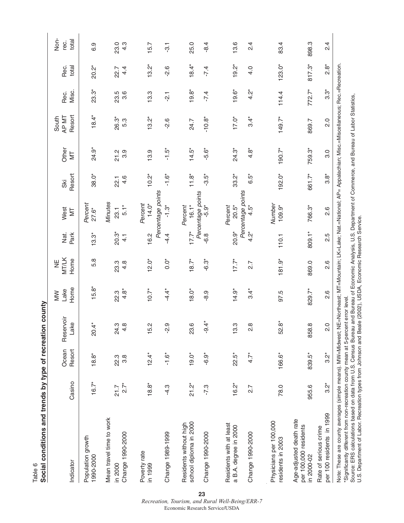| Social conditions and trends by type of recreation county<br>Table 6                                                                                                                                                                                                                                                                                                                                                            |                          |                     |                                             |                        |                           |                          |                                                                                                           |               |             |                          |                |                 |                       |
|---------------------------------------------------------------------------------------------------------------------------------------------------------------------------------------------------------------------------------------------------------------------------------------------------------------------------------------------------------------------------------------------------------------------------------|--------------------------|---------------------|---------------------------------------------|------------------------|---------------------------|--------------------------|-----------------------------------------------------------------------------------------------------------|---------------|-------------|--------------------------|----------------|-----------------|-----------------------|
| Indicator                                                                                                                                                                                                                                                                                                                                                                                                                       | Casino                   | Resort<br>Ocean     | Reservoir<br>Lake                           | Home<br>Lake<br>$\geq$ | <b>MT/LK</b><br>Home<br>쁮 | Nat.<br>Park             | West<br>Σ                                                                                                 | Resort<br>Ski | Other<br>Σh | Resort<br>AP MT<br>South | Misc.<br>Rec.  | Rec.<br>total   | Non-<br>total<br>rec. |
| Population growth<br>1990-2000                                                                                                                                                                                                                                                                                                                                                                                                  | $16.7*$                  | $18.8*$             | $\overset{*}{\textbf{a}}$<br>$\overline{5}$ | $15.8*$                | 5.8                       | $13.3*$                  | Percent<br>27.6*                                                                                          | 38.0*         | 24.9*       | $18.4*$                  | $23.3*$        | 20.2*           | 6.9                   |
| Mean travel time to work<br>Change 1990-2000<br>in 2000                                                                                                                                                                                                                                                                                                                                                                         | $\sum_{i=1}^{n}$<br>21.7 | 3.8<br>22.3         | 24.3<br>4.8                                 | $4.8*$<br>22.3         | 23.3<br>$\frac{8}{4}$     | $20.3*$<br>$\frac{1}{4}$ | Minutes<br>$5.1*$<br>23.1                                                                                 | 4.6<br>22.1   | 3.9<br>21.2 | 26.3*<br>5.3             | 23.5<br>3.6    | 4.4<br>22.7     | 4.3<br>23.0           |
| Poverty rate<br>in 1999                                                                                                                                                                                                                                                                                                                                                                                                         | $18.8*$                  | $12.4*$             | 15.2                                        | $10.7*$                | $12.0*$                   | 16.2                     | Percent<br>$14.0*$                                                                                        | $10.2*$       | 13.9        | $13.2*$                  | 13.3           | $13.2*$         | 15.7                  |
| Change 1989-1999                                                                                                                                                                                                                                                                                                                                                                                                                | $-4.3$                   | $-1.6$ <sup>*</sup> | $-2.9$                                      | $-4.4*$                | $O.0^*$                   | $-4.4$                   | Percentage points<br>$-1.3*$                                                                              | $-1.6*$       | $-1.5*$     | $-2.6$                   | $\overline{2}$ | $-2.6$          | $\overline{3}$ .      |
| school diploma in 2000<br>Residents without high                                                                                                                                                                                                                                                                                                                                                                                | $21.2*$                  | $19.0*$             | 23.6                                        | $18.0*$                | $18.7*$                   | $17.7*$                  | $16.1*$<br>Percent                                                                                        | $11.8*$       | $14.5*$     | 24.7                     | $19.8*$        | $18.4*$         | 25.0                  |
| Change 1990-2000                                                                                                                                                                                                                                                                                                                                                                                                                | $-7.3$                   | $-6.9*$             | $-9.4*$                                     | $-8.9$                 | $-6.3*$                   | $-6.8$                   | Percentage points<br>$-5.9*$                                                                              | $-3.5^*$      | $-5.6*$     | $-10.8*$                 | $-7.4$         | $-7.4$          | $-8.4$                |
| Residents with at least<br>a B.A. degree in 2000                                                                                                                                                                                                                                                                                                                                                                                | $16.2*$                  | $22.5*$             | 13.3                                        | $14.9*$                | $17.7*$                   | $20.9*$                  | Percent<br>$20.5*$                                                                                        | $33.2*$       | 24.3*       | $17.0*$                  | $19.6*$        | $19.2*$         | 13.6                  |
| Change 1990-2000                                                                                                                                                                                                                                                                                                                                                                                                                | 2.7                      | $4.7*$              | $\frac{8}{2}$                               | $3.4*$                 | 2.7                       | $4.2*$                   | Percentage points<br>$4.5*$                                                                               | 6.5*          | $4.8*$      | $3.4^*$                  | $4.2*$         | 4.0             | 2.4                   |
| Physicians per 100,000<br>residents in 2003                                                                                                                                                                                                                                                                                                                                                                                     | 78.0                     | 166.6*              | 52.8*                                       | 97.5                   | $181.9*$                  | 110.1                    | Number<br>$109.9*$                                                                                        | $192.0*$      | $190.7*$    | $149.7*$                 | 114.4          | $123.0*$        | 83.4                  |
| Age-adjusted death rate<br>per 100,000 residents<br>in 2000-02                                                                                                                                                                                                                                                                                                                                                                  | 955.6                    | 839.5*              | 858.8                                       | 829.7*                 | 869.0                     | 809.1*                   | 766.3*                                                                                                    | 661.7*        | 759.3*      | 869.7                    | $772.7*$       | 817.3*          | 898.3                 |
| per 100 residents in 1999<br>Rate of serious crime                                                                                                                                                                                                                                                                                                                                                                              | $3.2^*$                  | $3.2^*$             | 2.0                                         | 2.6                    | 2.6                       | 2.5                      | 2.6                                                                                                       | $3.8*$        | 3.0         | 2.0                      | $3.3^*$        | $\frac{8}{2.8}$ | 2.4                   |
| Source: ERS calculations based on data from U.S. Census Bureau and Bureau of Economic Analysis, U.S. Department of Commerce, and Bureau of Labor Statistics,<br>U.S. Department of Labor. Recreation types from Johnson and Beale (2002), USDA, Economic Research Service.<br>*Significantly different from non-recreation county mean at 5-percent error level.<br>Note: These are county averages (simple means). MW=Midwest; |                          |                     |                                             |                        |                           |                          | NE=Northeast; MT=Mountain; LK=Lake; Nat.=National; AP= Appalachian; Misc.=Miscellaneous; Rec.=Recreation. |               |             |                          |                |                 |                       |

**23** *Recreation, Tourism, and Rural Well-Being/ERR-7* Economic Research Service/USDA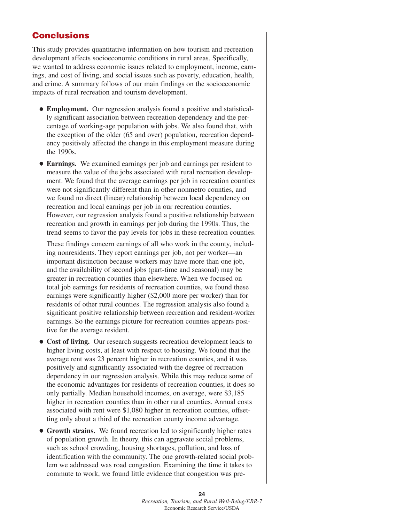## **Conclusions**

This study provides quantitative information on how tourism and recreation development affects socioeconomic conditions in rural areas. Specifically, we wanted to address economic issues related to employment, income, earnings, and cost of living, and social issues such as poverty, education, health, and crime. A summary follows of our main findings on the socioeconomic impacts of rural recreation and tourism development.

- **Employment.** Our regression analysis found a positive and statistically significant association between recreation dependency and the percentage of working-age population with jobs. We also found that, with the exception of the older (65 and over) population, recreation dependency positively affected the change in this employment measure during the 1990s.
- **Earnings.** We examined earnings per job and earnings per resident to measure the value of the jobs associated with rural recreation development. We found that the average earnings per job in recreation counties were not significantly different than in other nonmetro counties, and we found no direct (linear) relationship between local dependency on recreation and local earnings per job in our recreation counties. However, our regression analysis found a positive relationship between recreation and growth in earnings per job during the 1990s. Thus, the trend seems to favor the pay levels for jobs in these recreation counties.

These findings concern earnings of all who work in the county, including nonresidents. They report earnings per job, not per worker—an important distinction because workers may have more than one job, and the availability of second jobs (part-time and seasonal) may be greater in recreation counties than elsewhere. When we focused on total job earnings for residents of recreation counties, we found these earnings were significantly higher (\$2,000 more per worker) than for residents of other rural counties. The regression analysis also found a significant positive relationship between recreation and resident-worker earnings. So the earnings picture for recreation counties appears positive for the average resident.

- **Cost of living.** Our research suggests recreation development leads to higher living costs, at least with respect to housing. We found that the average rent was 23 percent higher in recreation counties, and it was positively and significantly associated with the degree of recreation dependency in our regression analysis. While this may reduce some of the economic advantages for residents of recreation counties, it does so only partially. Median household incomes, on average, were \$3,185 higher in recreation counties than in other rural counties. Annual costs associated with rent were \$1,080 higher in recreation counties, offsetting only about a third of the recreation county income advantage.
- **Growth strains.** We found recreation led to significantly higher rates of population growth. In theory, this can aggravate social problems, such as school crowding, housing shortages, pollution, and loss of identification with the community. The one growth-related social problem we addressed was road congestion. Examining the time it takes to commute to work, we found little evidence that congestion was pre-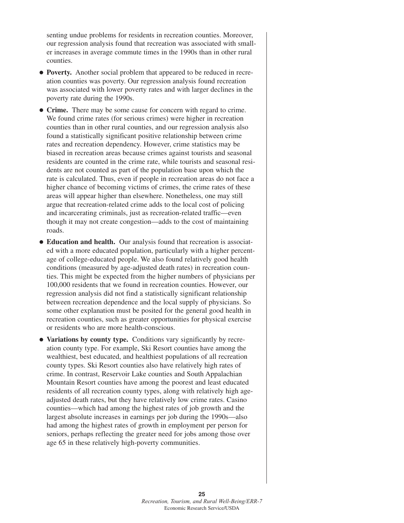senting undue problems for residents in recreation counties. Moreover, our regression analysis found that recreation was associated with smaller increases in average commute times in the 1990s than in other rural counties.

- **Poverty.** Another social problem that appeared to be reduced in recreation counties was poverty. Our regression analysis found recreation was associated with lower poverty rates and with larger declines in the poverty rate during the 1990s.
- **Crime.** There may be some cause for concern with regard to crime. We found crime rates (for serious crimes) were higher in recreation counties than in other rural counties, and our regression analysis also found a statistically significant positive relationship between crime rates and recreation dependency. However, crime statistics may be biased in recreation areas because crimes against tourists and seasonal residents are counted in the crime rate, while tourists and seasonal residents are not counted as part of the population base upon which the rate is calculated. Thus, even if people in recreation areas do not face a higher chance of becoming victims of crimes, the crime rates of these areas will appear higher than elsewhere. Nonetheless, one may still argue that recreation-related crime adds to the local cost of policing and incarcerating criminals, just as recreation-related traffic—even though it may not create congestion—adds to the cost of maintaining roads.
- **Education and health.** Our analysis found that recreation is associated with a more educated population, particularly with a higher percentage of college-educated people. We also found relatively good health conditions (measured by age-adjusted death rates) in recreation counties. This might be expected from the higher numbers of physicians per 100,000 residents that we found in recreation counties. However, our regression analysis did not find a statistically significant relationship between recreation dependence and the local supply of physicians. So some other explanation must be posited for the general good health in recreation counties, such as greater opportunities for physical exercise or residents who are more health-conscious.
- **Variations by county type.** Conditions vary significantly by recreation county type. For example, Ski Resort counties have among the wealthiest, best educated, and healthiest populations of all recreation county types. Ski Resort counties also have relatively high rates of crime. In contrast, Reservoir Lake counties and South Appalachian Mountain Resort counties have among the poorest and least educated residents of all recreation county types, along with relatively high ageadjusted death rates, but they have relatively low crime rates. Casino counties—which had among the highest rates of job growth and the largest absolute increases in earnings per job during the 1990s—also had among the highest rates of growth in employment per person for seniors, perhaps reflecting the greater need for jobs among those over age 65 in these relatively high-poverty communities.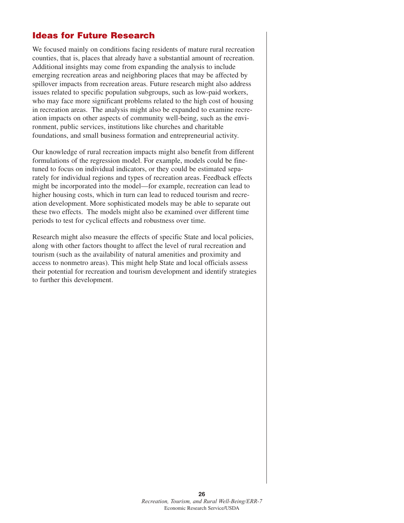## **Ideas for Future Research**

We focused mainly on conditions facing residents of mature rural recreation counties, that is, places that already have a substantial amount of recreation. Additional insights may come from expanding the analysis to include emerging recreation areas and neighboring places that may be affected by spillover impacts from recreation areas. Future research might also address issues related to specific population subgroups, such as low-paid workers, who may face more significant problems related to the high cost of housing in recreation areas. The analysis might also be expanded to examine recreation impacts on other aspects of community well-being, such as the environment, public services, institutions like churches and charitable foundations, and small business formation and entrepreneurial activity.

Our knowledge of rural recreation impacts might also benefit from different formulations of the regression model. For example, models could be finetuned to focus on individual indicators, or they could be estimated separately for individual regions and types of recreation areas. Feedback effects might be incorporated into the model—for example, recreation can lead to higher housing costs, which in turn can lead to reduced tourism and recreation development. More sophisticated models may be able to separate out these two effects. The models might also be examined over different time periods to test for cyclical effects and robustness over time.

Research might also measure the effects of specific State and local policies, along with other factors thought to affect the level of rural recreation and tourism (such as the availability of natural amenities and proximity and access to nonmetro areas). This might help State and local officials assess their potential for recreation and tourism development and identify strategies to further this development.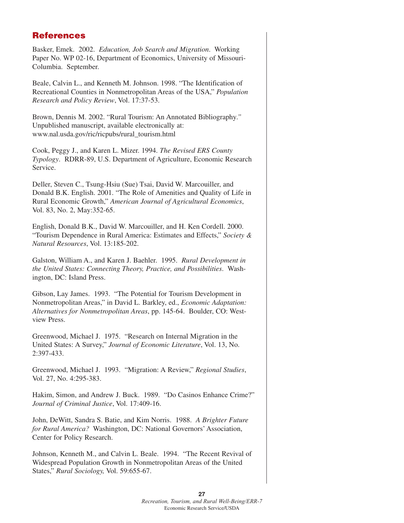## **References**

Basker, Emek. 2002. *Education, Job Search and Migration*. Working Paper No. WP 02-16, Department of Economics, University of Missouri-Columbia. September.

Beale, Calvin L., and Kenneth M. Johnson. 1998. "The Identification of Recreational Counties in Nonmetropolitan Areas of the USA," *Population Research and Policy Review*, Vol. 17:37-53.

Brown, Dennis M. 2002. "Rural Tourism: An Annotated Bibliography*."* Unpublished manuscript, available electronically at: www.nal.usda.gov/ric/ricpubs/rural\_tourism.html

Cook, Peggy J., and Karen L. Mizer. 1994. *The Revised ERS County Typology*. RDRR-89, U.S. Department of Agriculture, Economic Research Service.

Deller, Steven C., Tsung-Hsiu (Sue) Tsai, David W. Marcouiller, and Donald B.K. English. 2001. "The Role of Amenities and Quality of Life in Rural Economic Growth," *American Journal of Agricultural Economics*, Vol. 83, No. 2, May:352-65.

English, Donald B.K., David W. Marcouiller, and H. Ken Cordell. 2000. "Tourism Dependence in Rural America: Estimates and Effects," *Society & Natural Resources*, Vol. 13:185-202.

Galston, William A., and Karen J. Baehler. 1995. *Rural Development in the United States: Connecting Theory, Practice, and Possibilities*. Washington, DC: Island Press.

Gibson, Lay James. 1993. "The Potential for Tourism Development in Nonmetropolitan Areas," in David L. Barkley, ed., *Economic Adaptation: Alternatives for Nonmetropolitan Areas*, pp. 145-64. Boulder, CO: Westview Press.

Greenwood, Michael J. 1975. "Research on Internal Migration in the United States: A Survey," *Journal of Economic Literature*, Vol. 13, No. 2:397-433.

Greenwood, Michael J. 1993. "Migration: A Review," *Regional Studies*, Vol. 27, No. 4:295-383.

Hakim, Simon, and Andrew J. Buck. 1989. "Do Casinos Enhance Crime?" *Journal of Criminal Justice*, Vol. 17:409-16.

John, DeWitt, Sandra S. Batie, and Kim Norris. 1988. *A Brighter Future for Rural America?* Washington, DC: National Governors' Association, Center for Policy Research.

Johnson, Kenneth M., and Calvin L. Beale. 1994. "The Recent Revival of Widespread Population Growth in Nonmetropolitan Areas of the United States," *Rural Sociology,* Vol. 59:655-67.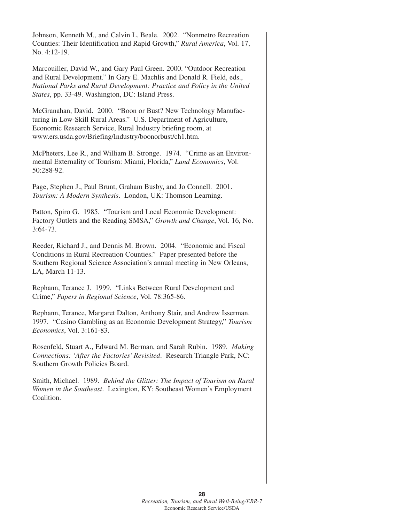Johnson, Kenneth M., and Calvin L. Beale. 2002. "Nonmetro Recreation Counties: Their Identification and Rapid Growth," *Rural America*, Vol. 17, No. 4:12-19.

Marcouiller, David W., and Gary Paul Green. 2000. "Outdoor Recreation and Rural Development." In Gary E. Machlis and Donald R. Field, eds., *National Parks and Rural Development: Practice and Policy in the United States*, pp. 33-49. Washington, DC: Island Press.

McGranahan, David. 2000. "Boon or Bust? New Technology Manufacturing in Low-Skill Rural Areas." U.S. Department of Agriculture, Economic Research Service, Rural Industry briefing room, at www.ers.usda.gov/Briefing/Industry/boonorbust/ch1.htm.

McPheters, Lee R., and William B. Stronge. 1974. "Crime as an Environmental Externality of Tourism: Miami, Florida," *Land Economics*, Vol. 50:288-92.

Page, Stephen J., Paul Brunt, Graham Busby, and Jo Connell. 2001. *Tourism: A Modern Synthesis*. London, UK: Thomson Learning.

Patton, Spiro G. 1985. "Tourism and Local Economic Development: Factory Outlets and the Reading SMSA," *Growth and Change*, Vol. 16, No. 3:64-73.

Reeder, Richard J., and Dennis M. Brown. 2004. "Economic and Fiscal Conditions in Rural Recreation Counties." Paper presented before the Southern Regional Science Association's annual meeting in New Orleans, LA, March 11-13.

Rephann, Terance J. 1999. "Links Between Rural Development and Crime," *Papers in Regional Science*, Vol. 78:365-86.

Rephann, Terance, Margaret Dalton, Anthony Stair, and Andrew Isserman. 1997. "Casino Gambling as an Economic Development Strategy," *Tourism Economics*, Vol. 3:161-83.

Rosenfeld, Stuart A., Edward M. Berman, and Sarah Rubin. 1989. *Making Connections: 'After the Factories' Revisited*. Research Triangle Park, NC: Southern Growth Policies Board.

Smith, Michael. 1989. *Behind the Glitter: The Impact of Tourism on Rural Women in the Southeast*. Lexington, KY: Southeast Women's Employment Coalition.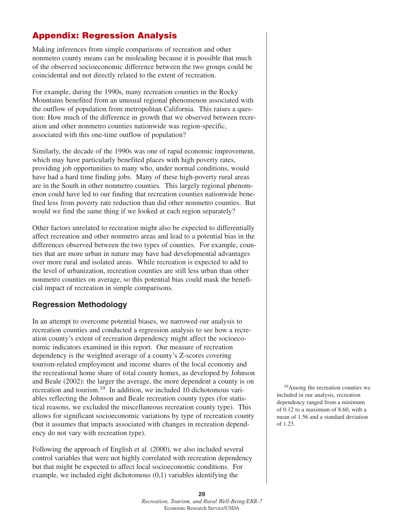## **Appendix: Regression Analysis**

Making inferences from simple comparisons of recreation and other nonmetro county means can be misleading because it is possible that much of the observed socioeconomic difference between the two groups could be coincidental and not directly related to the extent of recreation.

For example, during the 1990s, many recreation counties in the Rocky Mountains benefited from an unusual regional phenomenon associated with the outflow of population from metropolitan California. This raises a question: How much of the difference in growth that we observed between recreation and other nonmetro counties nationwide was region-specific, associated with this one-time outflow of population?

Similarly, the decade of the 1990s was one of rapid economic improvement, which may have particularly benefited places with high poverty rates, providing job opportunities to many who, under normal conditions, would have had a hard time finding jobs. Many of these high-poverty rural areas are in the South in other nonmetro counties. This largely regional phenomenon could have led to our finding that recreation counties nationwide benefited less from poverty rate reduction than did other nonmetro counties. But would we find the same thing if we looked at each region separately?

Other factors unrelated to recreation might also be expected to differentially affect recreation and other nonmetro areas and lead to a potential bias in the differences observed between the two types of counties. For example, counties that are more urban in nature may have had developmental advantages over more rural and isolated areas. While recreation is expected to add to the level of urbanization, recreation counties are still less urban than other nonmetro counties on average, so this potential bias could mask the beneficial impact of recreation in simple comparisons.

## **Regression Methodology**

In an attempt to overcome potential biases, we narrowed our analysis to recreation counties and conducted a regression analysis to see how a recreation county's extent of recreation dependency might affect the socioeconomic indicators examined in this report. Our measure of recreation dependency is the weighted average of a county's Z-scores covering tourism-related employment and income shares of the local economy and the recreational home share of total county homes, as developed by Johnson and Beale (2002): the larger the average, the more dependent a county is on recreation and tourism.<sup>19</sup> In addition, we included 10 dichotomous variables reflecting the Johnson and Beale recreation county types (for statistical reasons, we excluded the miscellaneous recreation county type). This allows for significant socioeconomic variations by type of recreation county (but it assumes that impacts associated with changes in recreation dependency do not vary with recreation type).

Following the approach of English et al. (2000), we also included several control variables that were not highly correlated with recreation dependency but that might be expected to affect local socioeconomic conditions. For example, we included eight dichotomous (0,1) variables identifying the

<sup>19</sup>Among the recreation counties we included in our analysis, recreation dependency ranged from a minimum of 0.12 to a maximum of 8.60, with a mean of 1.56 and a standard deviation of 1.23.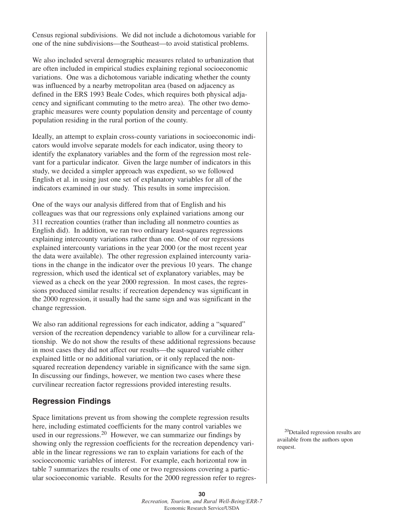Census regional subdivisions. We did not include a dichotomous variable for one of the nine subdivisions—the Southeast—to avoid statistical problems.

We also included several demographic measures related to urbanization that are often included in empirical studies explaining regional socioeconomic variations. One was a dichotomous variable indicating whether the county was influenced by a nearby metropolitan area (based on adjacency as defined in the ERS 1993 Beale Codes, which requires both physical adjacency and significant commuting to the metro area). The other two demographic measures were county population density and percentage of county population residing in the rural portion of the county.

Ideally, an attempt to explain cross-county variations in socioeconomic indicators would involve separate models for each indicator, using theory to identify the explanatory variables and the form of the regression most relevant for a particular indicator. Given the large number of indicators in this study, we decided a simpler approach was expedient, so we followed English et al. in using just one set of explanatory variables for all of the indicators examined in our study. This results in some imprecision.

One of the ways our analysis differed from that of English and his colleagues was that our regressions only explained variations among our 311 recreation counties (rather than including all nonmetro counties as English did). In addition, we ran two ordinary least-squares regressions explaining intercounty variations rather than one. One of our regressions explained intercounty variations in the year 2000 (or the most recent year the data were available). The other regression explained intercounty variations in the change in the indicator over the previous 10 years. The change regression, which used the identical set of explanatory variables, may be viewed as a check on the year 2000 regression. In most cases, the regressions produced similar results: if recreation dependency was significant in the 2000 regression, it usually had the same sign and was significant in the change regression.

We also ran additional regressions for each indicator, adding a "squared" version of the recreation dependency variable to allow for a curvilinear relationship. We do not show the results of these additional regressions because in most cases they did not affect our results—the squared variable either explained little or no additional variation, or it only replaced the nonsquared recreation dependency variable in significance with the same sign. In discussing our findings, however, we mention two cases where these curvilinear recreation factor regressions provided interesting results.

#### **Regression Findings**

Space limitations prevent us from showing the complete regression results here, including estimated coefficients for the many control variables we used in our regressions.<sup>20</sup> However, we can summarize our findings by showing only the regression coefficients for the recreation dependency variable in the linear regressions we ran to explain variations for each of the socioeconomic variables of interest. For example, each horizontal row in table 7 summarizes the results of one or two regressions covering a particular socioeconomic variable. Results for the 2000 regression refer to regres-

20Detailed regression results are available from the authors upon request.

#### **30** *Recreation, Tourism, and Rural Well-Being/ERR-7* Economic Research Service/USDA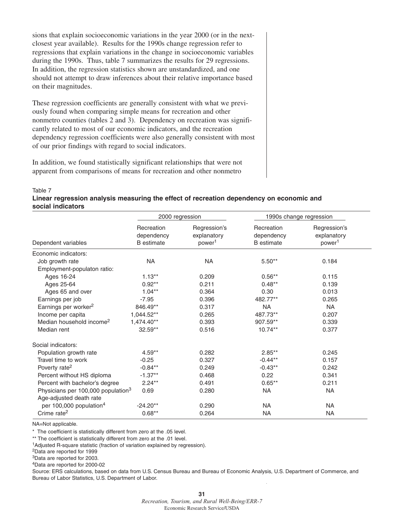sions that explain socioeconomic variations in the year 2000 (or in the nextclosest year available). Results for the 1990s change regression refer to regressions that explain variations in the change in socioeconomic variables during the 1990s. Thus, table 7 summarizes the results for 29 regressions. In addition, the regression statistics shown are unstandardized, and one should not attempt to draw inferences about their relative importance based on their magnitudes.

These regression coefficients are generally consistent with what we previously found when comparing simple means for recreation and other nonmetro counties (tables 2 and 3). Dependency on recreation was significantly related to most of our economic indicators, and the recreation dependency regression coefficients were also generally consistent with most of our prior findings with regard to social indicators.

In addition, we found statistically significant relationships that were not apparent from comparisons of means for recreation and other nonmetro

#### Table 7

#### **Linear regression analysis measuring the effect of recreation dependency on economic and social indicators**

|                                                | 2000 regression                               |                                                   |                                               | 1990s change regression                           |
|------------------------------------------------|-----------------------------------------------|---------------------------------------------------|-----------------------------------------------|---------------------------------------------------|
| Dependent variables                            | Recreation<br>dependency<br><b>B</b> estimate | Regression's<br>explanatory<br>power <sup>1</sup> | Recreation<br>dependency<br><b>B</b> estimate | Regression's<br>explanatory<br>power <sup>1</sup> |
| Economic indicators:                           |                                               |                                                   |                                               |                                                   |
| Job growth rate                                | <b>NA</b>                                     | <b>NA</b>                                         | $5.50**$                                      | 0.184                                             |
| Employment-populaton ratio:                    |                                               |                                                   |                                               |                                                   |
| Ages 16-24                                     | $1.13**$                                      | 0.209                                             | $0.56**$                                      | 0.115                                             |
| Ages 25-64                                     | $0.92**$                                      | 0.211                                             | $0.48***$                                     | 0.139                                             |
| Ages 65 and over                               | $1.04***$                                     | 0.364                                             | 0.30                                          | 0.013                                             |
| Earnings per job                               | $-7.95$                                       | 0.396                                             | 482.77**                                      | 0.265                                             |
| Earnings per worker <sup>2</sup>               | 846.49**                                      | 0.317                                             | <b>NA</b>                                     | <b>NA</b>                                         |
| Income per capita                              | 1,044.52**                                    | 0.265                                             | 487.73**                                      | 0.207                                             |
| Median household income <sup>2</sup>           | 1,474.40**                                    | 0.393                                             | 907.59**                                      | 0.339                                             |
| Median rent                                    | $32.59**$                                     | 0.516                                             | $10.74**$                                     | 0.377                                             |
| Social indicators:                             |                                               |                                                   |                                               |                                                   |
| Population growth rate                         | $4.59**$                                      | 0.282                                             | $2.85***$                                     | 0.245                                             |
| Travel time to work                            | $-0.25$                                       | 0.327                                             | $-0.44**$                                     | 0.157                                             |
| Poverty rate <sup>2</sup>                      | $-0.84***$                                    | 0.249                                             | $-0.43**$                                     | 0.242                                             |
| Percent without HS diploma                     | $-1.37**$                                     | 0.468                                             | 0.22                                          | 0.341                                             |
| Percent with bachelor's degree                 | $2.24**$                                      | 0.491                                             | $0.65***$                                     | 0.211                                             |
| Physicians per 100,000 population <sup>3</sup> | 0.69                                          | 0.280                                             | <b>NA</b>                                     | <b>NA</b>                                         |
| Age-adjusted death rate                        |                                               |                                                   |                                               |                                                   |
| per 100,000 population <sup>4</sup>            | $-24.20**$                                    | 0.290                                             | <b>NA</b>                                     | <b>NA</b>                                         |
| Crime rate <sup>2</sup>                        | $0.68**$                                      | 0.264                                             | <b>NA</b>                                     | <b>NA</b>                                         |

NA=Not applicable.

\* The coefficient is statistically different from zero at the .05 level.

\*\* The coefficient is statistically different from zero at the .01 level.

<sup>1</sup>Adjusted R-square statistic (fraction of variation explained by regression).

2Data are reported for 1999

3Data are reported for 2003.

4Data are reported for 2000-02

Source: ERS calculations, based on data from U.S. Census Bureau and Bureau of Economic Analysis, U.S. Department of Commerce, and Bureau of Labor Statistics, U.S. Department of Labor.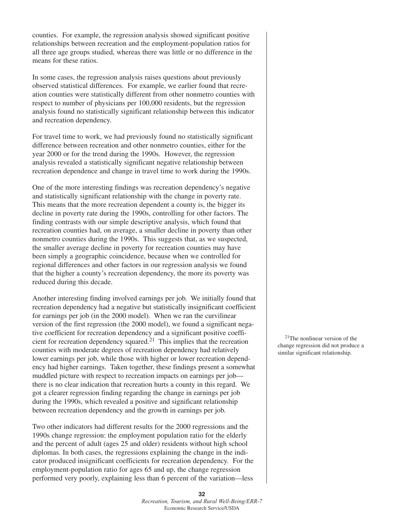counties. For example, the regression analysis showed significant positive relationships between recreation and the employment-population ratios for all three age groups studied, whereas there was little or no difference in the means for these ratios.

In some cases, the regression analysis raises questions about previously observed statistical differences. For example, we earlier found that recreation counties were statistically different from other nonmetro counties with respect to number of physicians per 100,000 residents, but the regression analysis found no statistically significant relationship between this indicator and recreation dependency.

For travel time to work, we had previously found no statistically significant difference between recreation and other nonmetro counties, either for the year 2000 or for the trend during the 1990s. However, the regression analysis revealed a statistically significant negative relationship between recreation dependence and change in travel time to work during the 1990s.

One of the more interesting findings was recreation dependency's negative and statistically significant relationship with the change in poverty rate. This means that the more recreation dependent a county is, the bigger its decline in poverty rate during the 1990s, controlling for other factors. The finding contrasts with our simple descriptive analysis, which found that recreation counties had, on average, a smaller decline in poverty than other nonmetro counties during the 1990s. This suggests that, as we suspected, the smaller average decline in poverty for recreation counties may have been simply a geographic coincidence, because when we controlled for regional differences and other factors in our regression analysis we found that the higher a county's recreation dependency, the more its poverty was reduced during this decade.

Another interesting finding involved earnings per job. We initially found that recreation dependency had a negative but statistically insignificant coefficient for earnings per job (in the 2000 model). When we ran the curvilinear version of the first regression (the 2000 model), we found a significant negative coefficient for recreation dependency and a significant positive coefficient for recreation dependency squared.<sup>21</sup> This implies that the recreation counties with moderate degrees of recreation dependency had relatively lower earnings per job, while those with higher or lower recreation dependency had higher earnings. Taken together, these findings present a somewhat muddled picture with respect to recreation impacts on earnings per job there is no clear indication that recreation hurts a county in this regard. We got a clearer regression finding regarding the change in earnings per job during the 1990s, which revealed a positive and significant relationship between recreation dependency and the growth in earnings per job.

Two other indicators had different results for the 2000 regressions and the 1990s change regression: the employment population ratio for the elderly and the percent of adult (ages 25 and older) residents without high school diplomas. In both cases, the regressions explaining the change in the indicator produced insignificant coefficients for recreation dependency. For the employment-population ratio for ages 65 and up, the change regression performed very poorly, explaining less than 6 percent of the variation—less

21The nonlinear version of the change regression did not produce a similar significant relationship.

#### **32** *Recreation, Tourism, and Rural Well-Being/ERR-7* Economic Research Service/USDA